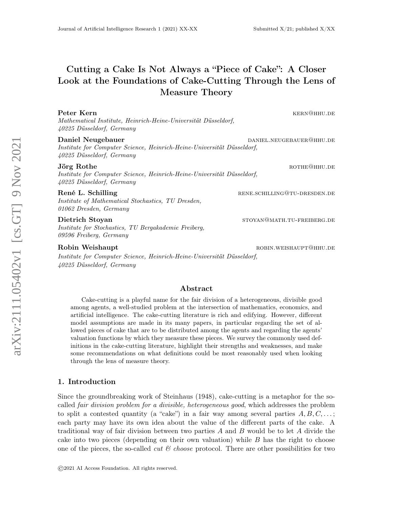# Cutting a Cake Is Not Always a "Piece of Cake": A Closer Look at the Foundations of Cake-Cutting Through the Lens of Measure Theory

| Peter Kern<br>Mathematical Institute, Heinrich-Heine-Universität Düsseldorf,<br>40225 Düsseldorf, Germany                | KERN@HHU.DE                  |
|--------------------------------------------------------------------------------------------------------------------------|------------------------------|
| Daniel Neugebauer<br>Institute for Computer Science, Heinrich-Heine-Universität Düsseldorf,<br>40225 Düsseldorf, Germany | DANIEL.NEUGEBAUER@HHU.DE     |
| Jörg Rothe<br>Institute for Computer Science, Heinrich-Heine-Universität Düsseldorf,<br>40225 Düsseldorf, Germany        | ROTHEQHHU.DE                 |
| René L. Schilling<br><i>Institute of Mathematical Stochastics, TU Dresden,</i><br>01062 Dresden, Germany                 | RENE.SCHILLING@TU-DRESDEN.DE |
| Dietrich Stoyan                                                                                                          | STOYAN@MATH.TU-FREIBERG.DE   |

Institute for Stochastics, TU Bergakademie Freiberg, 09596 Freiberg, Germany

#### Robin Weishaupt **robin.weishaupt** robin.weishaupt robin.weishaupt **robin.weishaupt**

Institute for Computer Science, Heinrich-Heine-Universität Düsseldorf, 40225 Düsseldorf, Germany

# Abstract

Cake-cutting is a playful name for the fair division of a heterogeneous, divisible good among agents, a well-studied problem at the intersection of mathematics, economics, and artificial intelligence. The cake-cutting literature is rich and edifying. However, different model assumptions are made in its many papers, in particular regarding the set of allowed pieces of cake that are to be distributed among the agents and regarding the agents' valuation functions by which they measure these pieces. We survey the commonly used definitions in the cake-cutting literature, highlight their strengths and weaknesses, and make some recommendations on what definitions could be most reasonably used when looking through the lens of measure theory.

# 1. Introduction

Since the groundbreaking work of Steinhaus (1948), cake-cutting is a metaphor for the socalled fair division problem for a divisible, heterogeneous good, which addresses the problem to split a contested quantity (a "cake") in a fair way among several parties  $A, B, C, \ldots;$ each party may have its own idea about the value of the different parts of the cake. A traditional way of fair division between two parties A and B would be to let A divide the cake into two pieces (depending on their own valuation) while  $B$  has the right to choose one of the pieces, the so-called *cut*  $\mathcal C$  *choose* protocol. There are other possibilities for two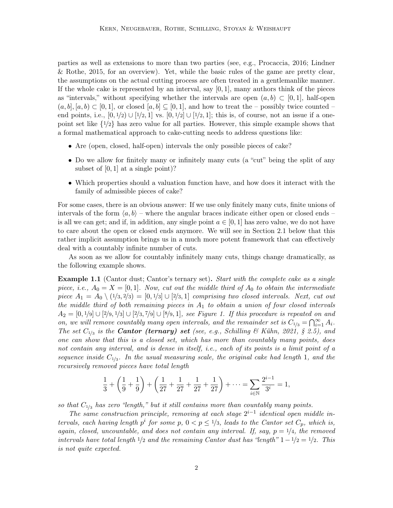parties as well as extensions to more than two parties (see, e.g., Procaccia, 2016; Lindner & Rothe, 2015, for an overview). Yet, while the basic rules of the game are pretty clear, the assumptions on the actual cutting process are often treated in a gentlemanlike manner. If the whole cake is represented by an interval, say  $[0, 1]$ , many authors think of the pieces as "intervals," without specifying whether the intervals are open  $(a, b) \subset [0, 1]$ , half-open  $(a, b], [a, b] \subset [0, 1],$  or closed  $[a, b] \subseteq [0, 1],$  and how to treat the – possibly twice counted – end points, i.e.,  $[0, 1/2) \cup [1/2, 1]$  vs.  $[0, 1/2] \cup [1/2, 1]$ ; this is, of course, not an issue if a onepoint set like  $\{1/2\}$  has zero value for all parties. However, this simple example shows that a formal mathematical approach to cake-cutting needs to address questions like:

- Are (open, closed, half-open) intervals the only possible pieces of cake?
- Do we allow for finitely many or infinitely many cuts (a "cut" being the split of any subset of  $[0, 1]$  at a single point)?
- Which properties should a valuation function have, and how does it interact with the family of admissible pieces of cake?

For some cases, there is an obvious answer: If we use only finitely many cuts, finite unions of intervals of the form  $\langle a, b \rangle$  – where the angular braces indicate either open or closed ends – is all we can get; and if, in addition, any single point  $a \in [0,1]$  has zero value, we do not have to care about the open or closed ends anymore. We will see in Section 2.1 below that this rather implicit assumption brings us in a much more potent framework that can effectively deal with a countably infinite number of cuts.

As soon as we allow for countably infinitely many cuts, things change dramatically, as the following example shows.

**Example 1.1** (Cantor dust; Cantor's ternary set). Start with the complete cake as a single piece, i.e.,  $A_0 = X = [0, 1]$ . Now, cut out the middle third of  $A_0$  to obtain the intermediate piece  $A_1 = A_0 \setminus (1/3, 2/3) = [0, 1/3] \cup [2/3, 1]$  comprising two closed intervals. Next, cut out the middle third of both remaining pieces in  $A_1$  to obtain a union of four closed intervals  $A_2 = [0, 1/9] \cup [2/9, 1/3] \cup [2/3, 7/9] \cup [8/9, 1]$ , see Figure 1. If this procedure is repeated on and on, we will remove countably many open intervals, and the remainder set is  $C_{1/3} = \bigcap_{i=1}^{\infty} A_i$ . The set  $C_{1/3}$  is the **Cantor (ternary) set** (see, e.g., Schilling & Kühn, 2021, § 2.5), and one can show that this is a closed set, which has more than countably many points, does not contain any interval, and is dense in itself, i.e., each of its points is a limit point of a sequence inside  $C_{1/3}$ . In the usual measuring scale, the original cake had length 1, and the recursively removed pieces have total length

$$
\frac{1}{3} + \left(\frac{1}{9} + \frac{1}{9}\right) + \left(\frac{1}{27} + \frac{1}{27} + \frac{1}{27} + \frac{1}{27}\right) + \dots = \sum_{i \in \mathbb{N}} \frac{2^{i-1}}{3^i} = 1,
$$

so that  $C_{1/3}$  has zero "length," but it still contains more than countably many points.

The same construction principle, removing at each stage  $2^{i-1}$  identical open middle intervals, each having length  $p^i$  for some  $p, 0 < p \leq 1/3$ , leads to the Cantor set  $C_p$ , which is, again, closed, uncountable, and does not contain any interval. If, say,  $p = \frac{1}{4}$ , the removed intervals have total length  $1/2$  and the remaining Cantor dust has "length"  $1-1/2=1/2$ . This is not quite expected.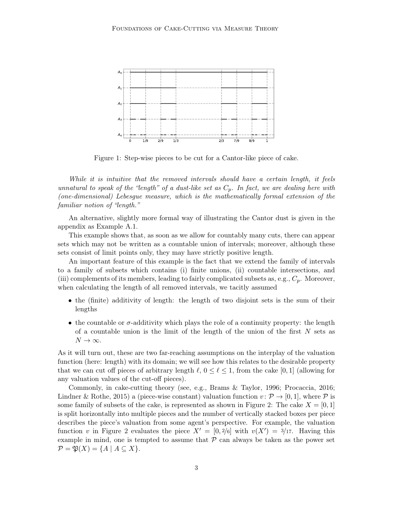

Figure 1: Step-wise pieces to be cut for a Cantor-like piece of cake.

While it is intuitive that the removed intervals should have a certain length, it feels unnatural to speak of the "length" of a dust-like set as  $C_p$ . In fact, we are dealing here with (one-dimensional) Lebesgue measure, which is the mathematically formal extension of the familiar notion of "length."

An alternative, slightly more formal way of illustrating the Cantor dust is given in the appendix as Example A.1.

This example shows that, as soon as we allow for countably many cuts, there can appear sets which may not be written as a countable union of intervals; moreover, although these sets consist of limit points only, they may have strictly positive length.

An important feature of this example is the fact that we extend the family of intervals to a family of subsets which contains (i) finite unions, (ii) countable intersections, and (iii) complements of its members, leading to fairly complicated subsets as, e.g.,  $C_p$ . Moreover, when calculating the length of all removed intervals, we tacitly assumed

- the (finite) additivity of length: the length of two disjoint sets is the sum of their lengths
- the countable or  $\sigma$ -additivity which plays the role of a continuity property: the length of a countable union is the limit of the length of the union of the first  $N$  sets as  $N \to \infty$ .

As it will turn out, these are two far-reaching assumptions on the interplay of the valuation function (here: length) with its domain; we will see how this relates to the desirable property that we can cut off pieces of arbitrary length  $\ell$ ,  $0 \leq \ell \leq 1$ , from the cake [0, 1] (allowing for any valuation values of the cut-off pieces).

Commonly, in cake-cutting theory (see, e.g., Brams & Taylor, 1996; Procaccia, 2016; Lindner & Rothe, 2015) a (piece-wise constant) valuation function  $v : \mathcal{P} \to [0, 1]$ , where  $\mathcal{P}$  is some family of subsets of the cake, is represented as shown in Figure 2: The cake  $X = [0, 1]$ is split horizontally into multiple pieces and the number of vertically stacked boxes per piece describes the piece's valuation from some agent's perspective. For example, the valuation function v in Figure 2 evaluates the piece  $X' = [0, 2/6]$  with  $v(X') = 3/17$ . Having this example in mind, one is tempted to assume that  $P$  can always be taken as the power set  $\mathcal{P} = \mathfrak{P}(X) = \{A \mid A \subseteq X\}.$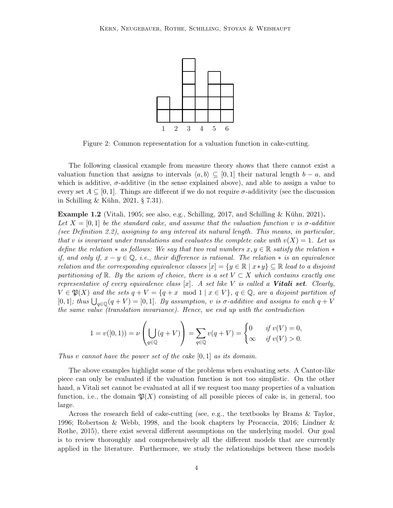

Figure 2: Common representation for a valuation function in cake-cutting.

The following classical example from measure theory shows that there cannot exist a valuation function that assigns to intervals  $\langle a, b \rangle \subseteq [0, 1]$  their natural length  $b - a$ , and which is additive,  $\sigma$ -additive (in the sense explained above), and able to assign a value to every set  $A \subseteq [0, 1]$ . Things are different if we do not require  $\sigma$ -additivity (see the discussion in Schilling & Kühn, 2021, § 7.31).

**Example 1.2** (Vitali, 1905; see also, e.g., Schilling, 2017, and Schilling & Kühn, 2021). Let  $X = [0, 1]$  be the standard cake, and assume that the valuation function v is  $\sigma$ -additive (see Definition 2.2), assigning to any interval its natural length. This means, in particular, that v is invariant under translations and evaluates the complete cake with  $v(X) = 1$ . Let us define the relation  $*$  as follows: We say that two real numbers  $x, y \in \mathbb{R}$  satisfy the relation  $*$ if, and only if,  $x - y \in \mathbb{Q}$ , i.e., their difference is rational. The relation  $*$  is an equivalence relation and the corresponding equivalence classes  $[x] = \{y \in \mathbb{R} \mid x \ast y\} \subseteq \mathbb{R}$  lead to a disjoint partitioning of  $\mathbb{R}$ . By the axiom of choice, there is a set  $V \subset X$  which contains exactly one representative of every equivalence class  $[x]$ . A set like V is called a Vitali set. Clearly,  $V \in \mathfrak{P}(X)$  and the sets  $q + V = \{q + x \mod 1 \mid x \in V\}$ ,  $q \in \mathbb{Q}$ , are a disjoint partition of [0,1]; thus  $\bigcup_{q\in\mathbb{Q}}(q+V)=[0,1]$ . By assumption, v is  $\sigma$ -additive and assigns to each  $q+V$ the same value (translation invariance). Hence, we end up with the contradiction

$$
1 = v([0, 1)) = \nu \left( \bigcup_{q \in \mathbb{Q}} (q + V) \right) = \sum_{q \in \mathbb{Q}} v(q + V) = \begin{cases} 0 & \text{if } v(V) = 0, \\ \infty & \text{if } v(V) > 0. \end{cases}
$$

Thus v cannot have the power set of the cake  $[0, 1]$  as its domain.

The above examples highlight some of the problems when evaluating sets. A Cantor-like piece can only be evaluated if the valuation function is not too simplistic. On the other hand, a Vitali set cannot be evaluated at all if we request too many properties of a valuation function, i.e., the domain  $\mathfrak{P}(X)$  consisting of all possible pieces of cake is, in general, too large.

Across the research field of cake-cutting (see, e.g., the textbooks by Brams & Taylor, 1996; Robertson & Webb, 1998, and the book chapters by Procaccia, 2016; Lindner & Rothe, 2015), there exist several different assumptions on the underlying model. Our goal is to review thoroughly and comprehensively all the different models that are currently applied in the literature. Furthermore, we study the relationships between these models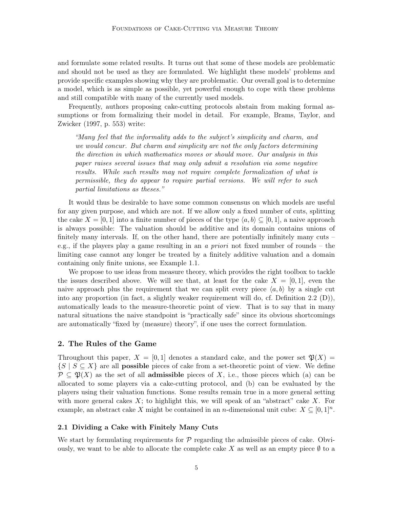and formulate some related results. It turns out that some of these models are problematic and should not be used as they are formulated. We highlight these models' problems and provide specific examples showing why they are problematic. Our overall goal is to determine a model, which is as simple as possible, yet powerful enough to cope with these problems and still compatible with many of the currently used models.

Frequently, authors proposing cake-cutting protocols abstain from making formal assumptions or from formalizing their model in detail. For example, Brams, Taylor, and Zwicker (1997, p. 553) write:

"Many feel that the informality adds to the subject's simplicity and charm, and we would concur. But charm and simplicity are not the only factors determining the direction in which mathematics moves or should move. Our analysis in this paper raises several issues that may only admit a resolution via some negative results. While such results may not require complete formalization of what is permissible, they do appear to require partial versions. We will refer to such partial limitations as theses."

It would thus be desirable to have some common consensus on which models are useful for any given purpose, and which are not. If we allow only a fixed number of cuts, splitting the cake  $X = [0, 1]$  into a finite number of pieces of the type  $\langle a, b \rangle \subseteq [0, 1]$ , a naive approach is always possible: The valuation should be additive and its domain contains unions of finitely many intervals. If, on the other hand, there are potentially infinitely many cuts – e.g., if the players play a game resulting in an a priori not fixed number of rounds – the limiting case cannot any longer be treated by a finitely additive valuation and a domain containing only finite unions, see Example 1.1.

We propose to use ideas from measure theory, which provides the right toolbox to tackle the issues described above. We will see that, at least for the cake  $X = [0, 1]$ , even the naive approach plus the requirement that we can split every piece  $\langle a, b \rangle$  by a single cut into any proportion (in fact, a slightly weaker requirement will do, cf. Definition 2.2 (D)), automatically leads to the measure-theoretic point of view. That is to say that in many natural situations the naive standpoint is "practically safe" since its obvious shortcomings are automatically "fixed by (measure) theory", if one uses the correct formulation.

# 2. The Rules of the Game

Throughout this paper,  $X = [0, 1]$  denotes a standard cake, and the power set  $\mathfrak{P}(X) =$  $\{S \mid S \subseteq X\}$  are all **possible** pieces of cake from a set-theoretic point of view. We define  $\mathcal{P} \subseteq \mathfrak{P}(X)$  as the set of all **admissible** pieces of X, i.e., those pieces which (a) can be allocated to some players via a cake-cutting protocol, and (b) can be evaluated by the players using their valuation functions. Some results remain true in a more general setting with more general cakes  $X$ ; to highlight this, we will speak of an "abstract" cake  $X$ . For example, an abstract cake X might be contained in an n-dimensional unit cube:  $X \subseteq [0,1]^n$ .

# 2.1 Dividing a Cake with Finitely Many Cuts

We start by formulating requirements for  $\mathcal P$  regarding the admissible pieces of cake. Obviously, we want to be able to allocate the complete cake X as well as an empty piece  $\emptyset$  to a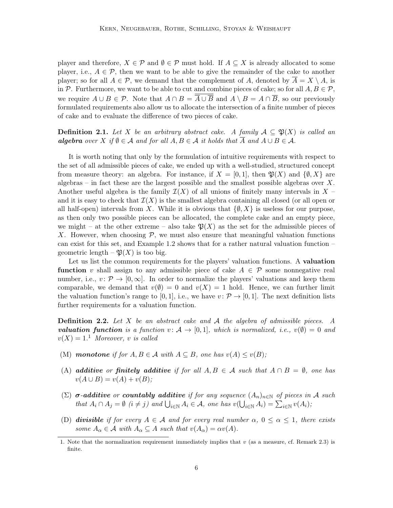player and therefore,  $X \in \mathcal{P}$  and  $\emptyset \in \mathcal{P}$  must hold. If  $A \subseteq X$  is already allocated to some player, i.e.,  $A \in \mathcal{P}$ , then we want to be able to give the remainder of the cake to another player; so for all  $A \in \mathcal{P}$ , we demand that the complement of A, denoted by  $\overline{A} = X \setminus A$ , is in P. Furthermore, we want to be able to cut and combine pieces of cake; so for all  $A, B \in \mathcal{P}$ , we require  $A \cup B \in \mathcal{P}$ . Note that  $A \cap B = \overline{\overline{A} \cup \overline{B}}$  and  $A \setminus B = A \cap \overline{B}$ , so our previously formulated requirements also allow us to allocate the intersection of a finite number of pieces of cake and to evaluate the difference of two pieces of cake.

**Definition 2.1.** Let X be an arbitrary abstract cake. A family  $A \subseteq \mathfrak{P}(X)$  is called an **algebra** over X if  $\emptyset \in \mathcal{A}$  and for all  $A, B \in \mathcal{A}$  it holds that  $\overline{A}$  and  $A \cup B \in \mathcal{A}$ .

It is worth noting that only by the formulation of intuitive requirements with respect to the set of all admissible pieces of cake, we ended up with a well-studied, structured concept from measure theory: an algebra. For instance, if  $X = [0, 1]$ , then  $\mathfrak{P}(X)$  and  $\{\emptyset, X\}$  are algebras – in fact these are the largest possible and the smallest possible algebras over  $X$ . Another useful algebra is the family  $\mathcal{I}(X)$  of all unions of finitely many intervals in X – and it is easy to check that  $\mathcal{I}(X)$  is the smallest algebra containing all closed (or all open or all half-open) intervals from X. While it is obvious that  $\{\emptyset, X\}$  is useless for our purpose, as then only two possible pieces can be allocated, the complete cake and an empty piece, we might – at the other extreme – also take  $\mathfrak{P}(X)$  as the set for the admissible pieces of X. However, when choosing  $P$ , we must also ensure that meaningful valuation functions can exist for this set, and Example 1.2 shows that for a rather natural valuation function – geometric length  $-\mathfrak{P}(X)$  is too big.

Let us list the common requirements for the players' valuation functions. A **valuation function** v shall assign to any admissible piece of cake  $A \in \mathcal{P}$  some nonnegative real number, i.e.,  $v \colon \mathcal{P} \to [0,\infty]$ . In order to normalize the players' valuations and keep them comparable, we demand that  $v(\emptyset) = 0$  and  $v(X) = 1$  hold. Hence, we can further limit the valuation function's range to [0, 1], i.e., we have  $v : \mathcal{P} \to [0, 1]$ . The next definition lists further requirements for a valuation function.

**Definition 2.2.** Let X be an abstract cake and  $A$  the algebra of admissible pieces. A **valuation function** is a function  $v: \mathcal{A} \to [0, 1]$ , which is normalized, i.e.,  $v(\emptyset) = 0$  and  $v(X) = 1<sup>1</sup>$  Moreover, v is called

- (M) monotone if for  $A, B \in \mathcal{A}$  with  $A \subseteq B$ , one has  $v(A) \le v(B)$ ;
- (A) additive or finitely additive if for all  $A, B \in \mathcal{A}$  such that  $A \cap B = \emptyset$ , one has  $v(A \cup B) = v(A) + v(B);$
- $(\Sigma)$   $\sigma$ -additive or countably additive if for any sequence  $(A_n)_{n\in\mathbb{N}}$  of pieces in A such that  $A_i \cap A_j = \emptyset$  ( $i \neq j$ ) and  $\bigcup_{i \in \mathbb{N}} A_i \in \mathcal{A}$ , one has  $v(\bigcup_{i \in \mathbb{N}} A_i) = \sum_{i \in \mathbb{N}} v(A_i)$ ;
- (D) divisible if for every  $A \in \mathcal{A}$  and for every real number  $\alpha, 0 \leq \alpha \leq 1$ , there exists some  $A_{\alpha} \in \mathcal{A}$  with  $A_{\alpha} \subseteq A$  such that  $v(A_{\alpha}) = \alpha v(A)$ .

<sup>1.</sup> Note that the normalization requirement immediately implies that  $v$  (as a measure, cf. Remark 2.3) is finite.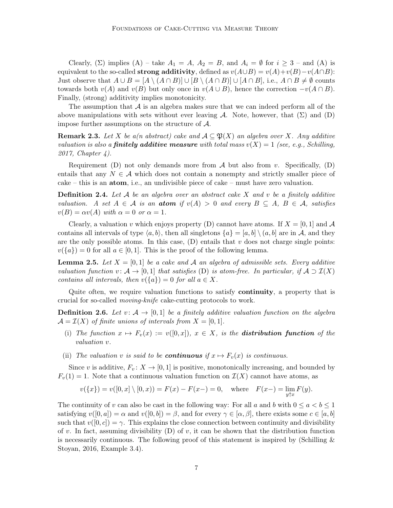Clearly,  $(\Sigma)$  implies  $(A)$  – take  $A_1 = A$ ,  $A_2 = B$ , and  $A_i = \emptyset$  for  $i \geq 3$  – and  $(A)$  is equivalent to the so-called **strong additivity**, defined as  $v(A\cup B) = v(A) + v(B) - v(A\cap B)$ : Just observe that  $A \cup B = [A \setminus (A \cap B)] \cup [B \setminus (A \cap B)] \cup [A \cap B]$ , i.e.,  $A \cap B \neq \emptyset$  counts towards both  $v(A)$  and  $v(B)$  but only once in  $v(A \cup B)$ , hence the correction  $-v(A \cap B)$ . Finally, (strong) additivity implies monotonicity.

The assumption that  $\mathcal A$  is an algebra makes sure that we can indeed perform all of the above manipulations with sets without ever leaving A. Note, however, that  $(\Sigma)$  and  $(D)$ impose further assumptions on the structure of  $A$ .

**Remark 2.3.** Let X be a(n abstract) cake and  $A \subseteq \mathfrak{P}(X)$  an algebra over X. Any additive valuation is also a **finitely additive measure** with total mass  $v(X) = 1$  (see, e.g., Schilling, 2017, Chapter 4).

Requirement (D) not only demands more from  $A$  but also from v. Specifically, (D) entails that any  $N \in \mathcal{A}$  which does not contain a nonempty and strictly smaller piece of cake – this is an atom, i.e., an undivisible piece of cake – must have zero valuation.

**Definition 2.4.** Let  $A$  be an algebra over an abstract cake  $X$  and  $v$  be a finitely additive valuation. A set  $A \in \mathcal{A}$  is an **atom** if  $v(A) > 0$  and every  $B \subseteq A$ ,  $B \in \mathcal{A}$ , satisfies  $v(B) = \alpha v(A)$  with  $\alpha = 0$  or  $\alpha = 1$ .

Clearly, a valuation v which enjoys property (D) cannot have atoms. If  $X = [0, 1]$  and A contains all intervals of type  $\langle a, b \rangle$ , then all singletons  $\{a\} = [a, b] \setminus (a, b]$  are in A, and they are the only possible atoms. In this case,  $(D)$  entails that v does not charge single points:  $v({a}) = 0$  for all  $a \in [0, 1]$ . This is the proof of the following lemma.

**Lemma 2.5.** Let  $X = [0, 1]$  be a cake and A an algebra of admissible sets. Every additive valuation function v:  $\mathcal{A} \to [0,1]$  that satisfies (D) is atom-free. In particular, if  $\mathcal{A} \supset \mathcal{I}(X)$ contains all intervals, then  $v({a}) = 0$  for all  $a \in X$ .

Quite often, we require valuation functions to satisfy continuity, a property that is crucial for so-called moving-knife cake-cutting protocols to work.

**Definition 2.6.** Let  $v: \mathcal{A} \to [0, 1]$  be a finitely additive valuation function on the algebra  $\mathcal{A} = \mathcal{I}(X)$  of finite unions of intervals from  $X = [0, 1]$ .

- (i) The function  $x \mapsto F_v(x) := v([0, x])$ ,  $x \in X$ , is the **distribution function** of the valuation v.
- (ii) The valuation v is said to be **continuous** if  $x \mapsto F_v(x)$  is continuous.

Since v is additive,  $F_v: X \to [0, 1]$  is positive, monotonically increasing, and bounded by  $F_v(1) = 1$ . Note that a continuous valuation function on  $\mathcal{I}(X)$  cannot have atoms, as

$$
v({x}) = v([0, x] \setminus [0, x)) = F(x) - F(x-) = 0
$$
, where  $F(x-) = \lim_{y \uparrow x} F(y)$ .

The continuity of v can also be cast in the following way: For all a and b with  $0 \le a < b \le 1$ satisfying  $v([0, a]) = \alpha$  and  $v([0, b]) = \beta$ , and for every  $\gamma \in [\alpha, \beta]$ , there exists some  $c \in [a, b]$ such that  $v([0, c]) = \gamma$ . This explains the close connection between continuity and divisibility of v. In fact, assuming divisibility (D) of v, it can be shown that the distribution function is necessarily continuous. The following proof of this statement is inspired by (Schilling  $\&$ Stoyan, 2016, Example 3.4).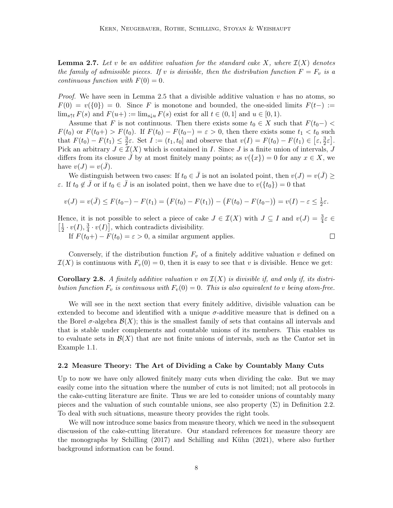**Lemma 2.7.** Let v be an additive valuation for the standard cake X, where  $\mathcal{I}(X)$  denotes the family of admissible pieces. If v is divisible, then the distribution function  $F = F_v$  is a continuous function with  $F(0) = 0$ .

*Proof.* We have seen in Lemma 2.5 that a divisible additive valuation  $v$  has no atoms, so  $F(0) = v({0}) = 0$ . Since F is monotone and bounded, the one-sided limits  $F(t-) :=$  $\lim_{s \uparrow t} F(s)$  and  $F(u+) := \lim_{s \downarrow u} F(s)$  exist for all  $t \in (0,1]$  and  $u \in [0,1)$ .

Assume that F is not continuous. Then there exists some  $t_0 \in X$  such that  $F(t_0-) <$  $F(t_0)$  or  $F(t_0+) > F(t_0)$ . If  $F(t_0) - F(t_0-) = \varepsilon > 0$ , then there exists some  $t_1 < t_0$  such that  $F(t_0) - F(t_1) \leq \frac{3}{2}$  $\frac{3}{2}\varepsilon$ . Set  $I := (t_1, t_0]$  and observe that  $v(I) = F(t_0) - F(t_1) \in \left[\varepsilon, \frac{3}{2}\varepsilon\right]$ . Pick an arbitrary  $J \in \mathcal{I}(X)$  which is contained in I. Since J is a finite union of intervals, J differs from its closure J by at most finitely many points; as  $v({x}) = 0$  for any  $x \in X$ , we have  $v(J) = v(\bar{J}).$ 

We distinguish between two cases: If  $t_0 \in \bar{J}$  is not an isolated point, then  $v(J) = v(\bar{J}) \geq$ ε. If  $t_0 \notin \bar{J}$  or if  $t_0 \in \bar{J}$  is an isolated point, then we have due to  $v({t_0}) = 0$  that

$$
v(J) = v(\bar{J}) \leq F(t_0 -) - F(t_1) = (F(t_0) - F(t_1)) - (F(t_0) - F(t_0 -)) = v(I) - \varepsilon \leq \frac{1}{2}\varepsilon.
$$

Hence, it is not possible to select a piece of cake  $J \in \mathcal{I}(X)$  with  $J \subseteq I$  and  $v(J) = \frac{3}{4}\varepsilon \in \mathcal{I}(X)$  $\lceil \frac{1}{2} \rceil$  $\frac{1}{2} \cdot v(I), \frac{3}{4}$  $\frac{3}{4} \cdot v(I)$ , which contradicts divisibility.

If  $F(t_0+) - F(t_0) = \varepsilon > 0$ , a similar argument applies.

 $\Box$ 

Conversely, if the distribution function  $F_v$  of a finitely additive valuation v defined on  $\mathcal{I}(X)$  is continuous with  $F_v(0) = 0$ , then it is easy to see that v is divisible. Hence we get:

**Corollary 2.8.** A finitely additive valuation v on  $\mathcal{I}(X)$  is divisible if, and only if, its distribution function  $F_v$  is continuous with  $F_v(0) = 0$ . This is also equivalent to v being atom-free.

We will see in the next section that every finitely additive, divisible valuation can be extended to become and identified with a unique  $\sigma$ -additive measure that is defined on a the Borel  $\sigma$ -algebra  $\mathcal{B}(X)$ ; this is the smallest family of sets that contains all intervals and that is stable under complements and countable unions of its members. This enables us to evaluate sets in  $\mathcal{B}(X)$  that are not finite unions of intervals, such as the Cantor set in Example 1.1.

#### 2.2 Measure Theory: The Art of Dividing a Cake by Countably Many Cuts

Up to now we have only allowed finitely many cuts when dividing the cake. But we may easily come into the situation where the number of cuts is not limited; not all protocols in the cake-cutting literature are finite. Thus we are led to consider unions of countably many pieces and the valuation of such countable unions, see also property  $(\Sigma)$  in Definition 2.2. To deal with such situations, measure theory provides the right tools.

We will now introduce some basics from measure theory, which we need in the subsequent discussion of the cake-cutting literature. Our standard references for measure theory are the monographs by Schilling (2017) and Schilling and Kühn (2021), where also further background information can be found.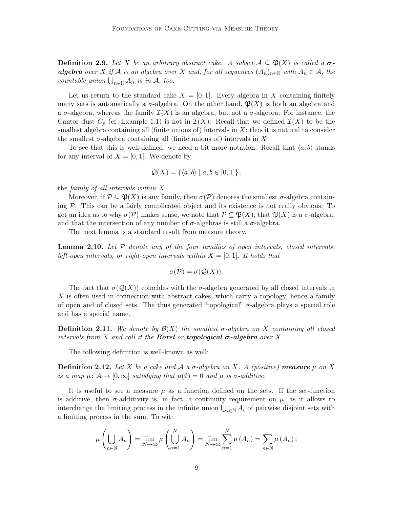**Definition 2.9.** Let X be an arbitrary abstract cake. A subset  $A \subseteq \mathfrak{P}(X)$  is called a  $\sigma$ **algebra** over X if A is an algebra over X and, for all sequences  $(A_n)_{n\in\mathbb{N}}$  with  $A_n \in \mathcal{A}$ , the countable union  $\bigcup_{n\in\mathbb{N}} A_n$  is in A, too.

Let us return to the standard cake  $X = [0, 1]$ . Every algebra in X containing finitely many sets is automatically a  $\sigma$ -algebra. On the other hand,  $\mathfrak{P}(X)$  is both an algebra and a  $\sigma$ -algebra, whereas the family  $\mathcal{I}(X)$  is an algebra, but not a  $\sigma$ -algebra: For instance, the Cantor dust  $C_p$  (cf. Example 1.1) is not in  $\mathcal{I}(X)$ . Recall that we defined  $\mathcal{I}(X)$  to be the smallest algebra containing all (finite unions of) intervals in  $X$ ; thus it is natural to consider the smallest  $\sigma$ -algebra containing all (finite unions of) intervals in X.

To see that this is well-defined, we need a bit more notation. Recall that  $\langle a, b \rangle$  stands for any interval of  $X = [0, 1]$ . We denote by

$$
\mathcal{Q}(X) = \{ \langle a, b \rangle \mid a, b \in [0, 1] \}.
$$

the family of all intervals within X.

Moreover, if  $\mathcal{P} \subseteq \mathfrak{P}(X)$  is any family, then  $\sigma(\mathcal{P})$  denotes the smallest  $\sigma$ -algebra containing P. This can be a fairly complicated object and its existence is not really obvious. To get an idea as to why  $\sigma(\mathcal{P})$  makes sense, we note that  $\mathcal{P} \subseteq \mathfrak{P}(X)$ , that  $\mathfrak{P}(X)$  is a  $\sigma$ -algebra, and that the intersection of any number of  $\sigma$ -algebras is still a  $\sigma$ -algebra.

The next lemma is a standard result from measure theory.

**Lemma 2.10.** Let  $P$  denote any of the four families of open intervals, closed intervals, left-open intervals, or right-open intervals within  $X = [0, 1]$ . It holds that

$$
\sigma(\mathcal{P}) = \sigma(\mathcal{Q}(X)).
$$

The fact that  $\sigma(Q(X))$  coincides with the  $\sigma$ -algebra generated by all closed intervals in  $X$  is often used in connection with abstract cakes, which carry a topology, hence a family of open and of closed sets. The thus generated "topological"  $\sigma$ -algebra plays a special role and has a special name.

**Definition 2.11.** We denote by  $\mathcal{B}(X)$  the smallest  $\sigma$ -algebra on X containing all closed intervals from X and call it the **Borel** or **topological**  $\sigma$ **-algebra** over X.

The following definition is well-known as well:

**Definition 2.12.** Let X be a cake and A a  $\sigma$ -algebra on X. A (positive) measure  $\mu$  on X is a map  $\mu: \mathcal{A} \to [0, \infty]$  satisfying that  $\mu(\emptyset) = 0$  and  $\mu$  is  $\sigma$ -additive.

It is useful to see a measure  $\mu$  as a function defined on the sets. If the set-function is additive, then  $\sigma$ -additivity is, in fact, a continuity requirement on  $\mu$ , as it allows to interchange the limiting process in the infinite union  $\bigcup_{i\in\mathbb{N}} A_i$  of pairwise disjoint sets with a limiting process in the sum. To wit:

$$
\mu\left(\bigcup_{n\in\mathbb{N}}A_n\right)=\lim_{N\to\infty}\mu\left(\bigcup_{n=1}^NA_n\right)=\lim_{N\to\infty}\sum_{n=1}^N\mu\left(A_n\right)=\sum_{n\in\mathbb{N}}\mu\left(A_n\right);
$$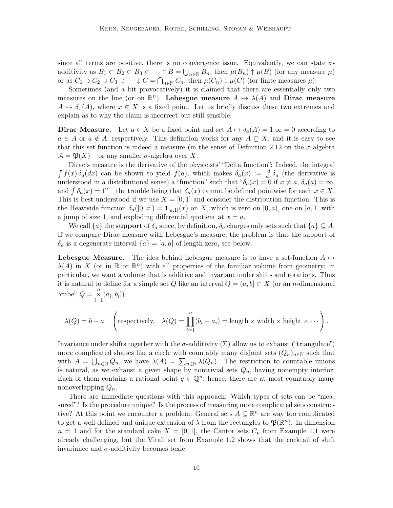since all terms are positive, there is no convergence issue. Equivalently, we can state  $\sigma$ additivity as  $B_1 \subset B_2 \subset B_3 \subset \cdots \uparrow B = \bigcup_{n \in \mathbb{N}} B_n$ , then  $\mu(B_n) \uparrow \mu(B)$  (for any measure  $\mu$ ) or as  $C_1 \supset C_2 \supset C_3 \supset \cdots \downarrow C = \bigcap_{n \in \mathbb{N}} C_n$ , then  $\mu(C_n) \downarrow \mu(C)$  (for finite measures  $\mu$ ).

Sometimes (and a bit provocatively) it is claimed that there are essentially only two measures on the line (or on  $\mathbb{R}^n$ ): Lebesgue measure  $A \mapsto \lambda(A)$  and Dirac measure  $A \mapsto \delta_x(A)$ , where  $x \in X$  is a fixed point. Let us briefly discuss these two extremes and explain as to why the claim is incorrect but still sensible.

**Dirac Measure.** Let  $a \in X$  be a fixed point and set  $A \mapsto \delta_a(A) = 1$  or  $= 0$  according to  $a \in A$  or  $a \notin A$ , respectively. This definition works for any  $A \subseteq X$ , and it is easy to see that this set-function is indeed a measure (in the sense of Definition 2.12 on the  $\sigma$ -algebra  $\mathcal{A} = \mathfrak{P}(X)$  – or any smaller  $\sigma$ -algebra over X.

Dirac's measure is the derivative of the physicists' "Delta function": Indeed, the integral  $\int f(x) \, \delta_a(dx)$  can be shown to yield  $f(a)$ , which makes  $\delta_a(x) := \frac{d}{dx} \delta_a$  (the derivative is understood in a distributional sense) a "function" such that " $\delta_a(x) = 0$  if  $x \neq a$ ,  $\delta_a(a) = \infty$ , and  $\int \delta_a(x) = 1$ " – the trouble being that  $\delta_a(x)$  cannot be defined pointwise for each  $x \in X$ . This is best understood if we use  $X = [0, 1]$  and consider the distribution function: This is the Heaviside function  $\delta_a([0, x]) = \mathbf{1}_{[a, 1]}(x)$  on X, which is zero on  $[0, a)$ , one on  $[a, 1]$  with a jump of size 1, and exploding differential quotient at  $x = a$ .

We call  $\{a\}$  the **support** of  $\delta_a$  since, by definition,  $\delta_a$  charges only sets such that  $\{a\} \subseteq A$ . If we compare Dirac measure with Lebesgue's measure, the problem is that the support of  $\delta_a$  is a degenerate interval  $\{a\} = [a, a]$  of length zero, see below.

**Lebesgue Measure.** The idea behind Lebesgue measure is to have a set-function  $A \mapsto$  $\lambda(A)$  in X (or in R or R<sup>n</sup>) with all properties of the familiar volume from geometry; in particular, we want a volume that is additive and invariant under shifts and rotations. Thus it is natural to define for a simple set Q like an interval  $Q = (a, b] \subset X$  (or an n-dimensional "cube"  $Q = \frac{n}{\sum_{i=1}^{n} (a_i, b_i]}$ 

$$
\lambda(Q) = b - a \quad \left(\text{respectively,} \quad \lambda(Q) = \prod_{i=1}^{n} (b_i - a_i) = \text{length} \times \text{width} \times \text{height} \times \cdots\right).
$$

Invariance under shifts together with the  $\sigma$ -additivity  $(\Sigma)$  allow us to exhaust ("triangulate") more complicated shapes like a circle with countably many disjoint sets  $(Q_n)_{n\in\mathbb{N}}$  such that with  $A = \bigcup_{n \in \mathbb{N}} Q_n$ , we have  $\lambda(A) = \sum_{n \in \mathbb{N}} \lambda(Q_n)$ . The restriction to countable unions is natural, as we exhaust a given shape by nontrivial sets  $Q_n$ , having nonempty interior: Each of them contains a rational point  $q \in \mathbb{Q}^n$ ; hence, there are at most countably many nonoverlapping  $Q_n$ .

There are immediate questions with this approach: Which types of sets can be "measured"? Is the procedure unique? Is the process of measuring more complicated sets constructive? At this point we encounter a problem: General sets  $A \subseteq \mathbb{R}^n$  are way too complicated to get a well-defined and unique extension of  $\lambda$  from the rectangles to  $\mathfrak{P}(\mathbb{R}^n)$ . In dimension  $n = 1$  and for the standard cake  $X = [0, 1]$ , the Cantor sets  $C_p$  from Example 1.1 were already challenging, but the Vitali set from Example 1.2 shows that the cocktail of shift invariance and  $\sigma$ -additivity becomes toxic.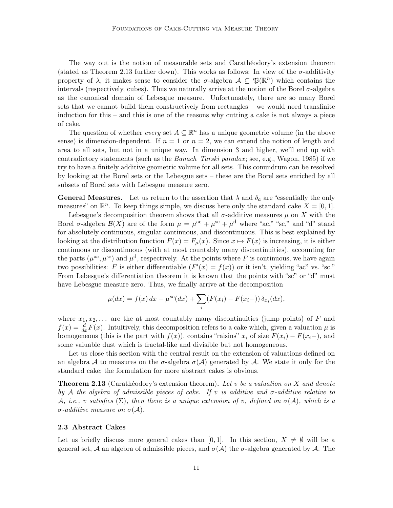The way out is the notion of measurable sets and Carathéodory's extension theorem (stated as Theorem 2.13 further down). This works as follows: In view of the  $\sigma$ -additivity property of  $\lambda$ , it makes sense to consider the  $\sigma$ -algebra  $\mathcal{A} \subseteq \mathfrak{P}(\mathbb{R}^n)$  which contains the intervals (respectively, cubes). Thus we naturally arrive at the notion of the Borel  $\sigma$ -algebra as the canonical domain of Lebesgue measure. Unfortunately, there are so many Borel sets that we cannot build them constructively from rectangles – we would need transfinite induction for this – and this is one of the reasons why cutting a cake is not always a piece of cake.

The question of whether *every* set  $A \subseteq \mathbb{R}^n$  has a unique geometric volume (in the above sense) is dimension-dependent. If  $n = 1$  or  $n = 2$ , we can extend the notion of length and area to all sets, but not in a unique way. In dimension 3 and higher, we'll end up with contradictory statements (such as the Banach–Tarski paradox; see, e.g., Wagon, 1985) if we try to have a finitely additive geometric volume for all sets. This conundrum can be resolved by looking at the Borel sets or the Lebesgue sets – these are the Borel sets enriched by all subsets of Borel sets with Lebesgue measure zero.

**General Measures.** Let us return to the assertion that  $\lambda$  and  $\delta_a$  are "essentially the only measures" on  $\mathbb{R}^n$ . To keep things simple, we discuss here only the standard cake  $X = [0, 1]$ .

Lebesgue's decomposition theorem shows that all  $\sigma$ -additive measures  $\mu$  on X with the Borel  $\sigma$ -algebra  $\mathcal{B}(X)$  are of the form  $\mu = \mu^{ac} + \mu^{sc} + \mu^{d}$  where "ac," "sc," and "d" stand for absolutely continuous, singular continuous, and discontinuous. This is best explained by looking at the distribution function  $F(x) = F_{\mu}(x)$ . Since  $x \mapsto F(x)$  is increasing, it is either continuous or discontinuous (with at most countably many discontinuities), accounting for the parts  $(\mu^{ac}, \mu^{sc})$  and  $\mu^{d}$ , respectively. At the points where F is continuous, we have again two possibilities: F is either differentiable  $(F'(x) = f(x))$  or it isn't, yielding "ac" vs. "sc." From Lebesgue's differentiation theorem it is known that the points with "sc" or "d" must have Lebesgue measure zero. Thus, we finally arrive at the decomposition

$$
\mu(dx) = f(x) dx + \mu^{sc}(dx) + \sum_{i} (F(x_i) - F(x_{i-})) \delta_{x_i}(dx),
$$

where  $x_1, x_2, \ldots$  are the at most countably many discontinuities (jump points) of F and  $f(x) = \frac{d}{dx}F(x)$ . Intuitively, this decomposition refers to a cake which, given a valuation  $\mu$  is homogeneous (this is the part with  $f(x)$ ), contains "raisins"  $x_i$  of size  $F(x_i) - F(x_i-)$ , and some valuable dust which is fractal-like and divisible but not homogeneous.

Let us close this section with the central result on the extension of valuations defined on an algebra A to measures on the  $\sigma$ -algebra  $\sigma(A)$  generated by A. We state it only for the standard cake; the formulation for more abstract cakes is obvious.

**Theorem 2.13** (Carathéodory's extension theorem). Let v be a valuation on X and denote by A the algebra of admissible pieces of cake. If v is additive and  $\sigma$ -additive relative to A, i.e., v satisfies  $(\Sigma)$ , then there is a unique extension of v, defined on  $\sigma(\mathcal{A})$ , which is a  $\sigma$ -additive measure on  $\sigma(\mathcal{A})$ .

#### 2.3 Abstract Cakes

Let us briefly discuss more general cakes than [0, 1]. In this section,  $X \neq \emptyset$  will be a general set, A an algebra of admissible pieces, and  $\sigma(A)$  the  $\sigma$ -algebra generated by A. The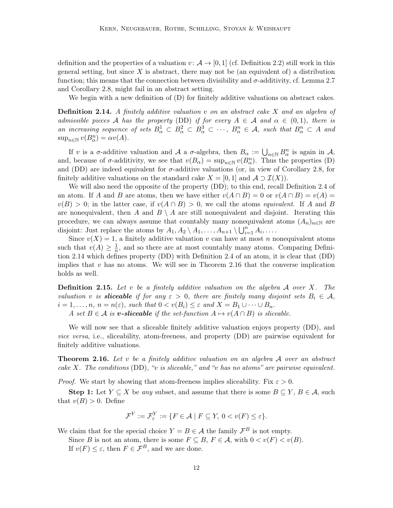definition and the properties of a valuation  $v : \mathcal{A} \to [0, 1]$  (cf. Definition 2.2) still work in this general setting, but since  $X$  is abstract, there may not be (an equivalent of) a distribution function; this means that the connection between divisibility and  $\sigma$ -additivity, cf. Lemma 2.7 and Corollary 2.8, might fail in an abstract setting.

We begin with a new definition of  $(D)$  for finitely additive valuations on abstract cakes.

**Definition 2.14.** A finitely additive valuation v on an abstract cake X and an algebra of admissible pieces A has the property (DD) if for every  $A \in \mathcal{A}$  and  $\alpha \in (0,1)$ , there is an increasing sequence of sets  $B^1_\alpha \subset B^2_\alpha \subset B^3_\alpha \subset \cdots$ ,  $B^n_\alpha \in \mathcal{A}$ , such that  $B^n_\alpha \subset A$  and  $\sup_{n\in\mathbb{N}} v(B_{\alpha}^n) = \alpha v(A).$ 

If v is a  $\sigma$ -additive valuation and A a  $\sigma$ -algebra, then  $B_{\alpha} := \bigcup_{n \in \mathbb{N}} B_{\alpha}^n$  is again in A, and, because of  $\sigma$ -additivity, we see that  $v(B_{\alpha}) = \sup_{n \in \mathbb{N}} v(B_{\alpha}^n)$ . Thus the properties (D) and (DD) are indeed equivalent for  $\sigma$ -additive valuations (or, in view of Corollary 2.8, for finitely additive valuations on the standard cake  $X = [0, 1]$  and  $\mathcal{A} \supset \mathcal{I}(X)$ .

We will also need the opposite of the property (DD); to this end, recall Definition 2.4 of an atom. If A and B are atoms, then we have either  $v(A \cap B) = 0$  or  $v(A \cap B) = v(A) =$  $v(B) > 0$ ; in the latter case, if  $v(A \cap B) > 0$ , we call the atoms *equivalent*. If A and B are nonequivalent, then A and  $B \setminus A$  are still nonequivalent and disjoint. Iterating this procedure, we can always assume that countably many nonequivalent atoms  $(A_n)_{n\in\mathbb{N}}$  are disjoint: Just replace the atoms by  $A_1, A_2 \setminus A_1, \ldots, A_{n+1} \setminus \bigcup_{i=1}^{n} A_i, \ldots$ 

Since  $v(X) = 1$ , a finitely additive valuation v can have at most n nonequivalent atoms such that  $v(A) \geq \frac{1}{n}$  $\frac{1}{n}$ , and so there are at most countably many atoms. Comparing Definition 2.14 which defines property (DD) with Definition 2.4 of an atom, it is clear that (DD) implies that  $v$  has no atoms. We will see in Theorem 2.16 that the converse implication holds as well.

**Definition 2.15.** Let v be a finitely additive valuation on the algebra  $\mathcal A$  over  $X$ . The valuation v is **sliceable** if for any  $\varepsilon > 0$ , there are finitely many disjoint sets  $B_i \in \mathcal{A}$ ,  $i = 1, \ldots, n, n = n(\varepsilon)$ , such that  $0 < v(B_i) \leq \varepsilon$  and  $X = B_1 \cup \cdots \cup B_n$ .

A set  $B \in \mathcal{A}$  is **v**-sliceable if the set-function  $A \mapsto v(A \cap B)$  is sliceable.

We will now see that a sliceable finitely additive valuation enjoys property (DD), and vice versa, i.e., sliceability, atom-freeness, and property (DD) are pairwise equivalent for finitely additive valuations.

**Theorem 2.16.** Let v be a finitely additive valuation on an algebra  $A$  over an abstract cake X. The conditions  $(DD)$ , "v is sliceable," and "v has no atoms" are pairwise equivalent.

*Proof.* We start by showing that atom-freeness implies sliceability. Fix  $\varepsilon > 0$ .

Step 1: Let  $Y \subseteq X$  be any subset, and assume that there is some  $B \subseteq Y, B \in \mathcal{A}$ , such that  $v(B) > 0$ . Define

$$
\mathcal{F}^Y := \mathcal{F}^Y_{\varepsilon} := \{ F \in \mathcal{A} \mid F \subseteq Y, \ 0 < v(F) \le \varepsilon \}.
$$

We claim that for the special choice  $Y = B \in \mathcal{A}$  the family  $\mathcal{F}^B$  is not empty.

Since B is not an atom, there is some  $F \subseteq B$ ,  $F \in \mathcal{A}$ , with  $0 < v(F) < v(B)$ .

If  $v(F) \leq \varepsilon$ , then  $F \in \mathcal{F}^B$ , and we are done.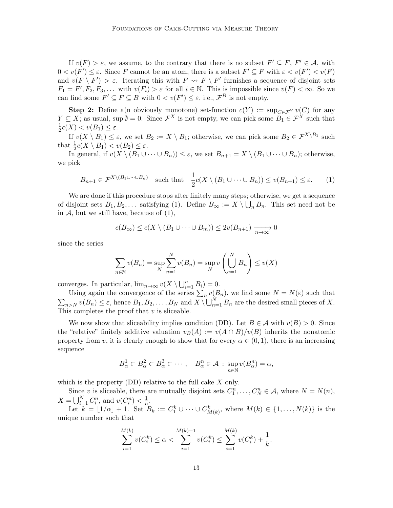If  $v(F) > \varepsilon$ , we assume, to the contrary that there is no subset  $F' \subseteq F$ ,  $F' \in \mathcal{A}$ , with  $0 < v(F') \leq \varepsilon$ . Since F cannot be an atom, there is a subset  $F' \subseteq F$  with  $\varepsilon < v(F') < v(F)$ and  $v(F \setminus F') > \varepsilon$ . Iterating this with  $F \rightsquigarrow F \setminus F'$  furnishes a sequence of disjoint sets  $F_1 = F', F_2, F_3, \dots$  with  $v(F_i) > \varepsilon$  for all  $i \in \mathbb{N}$ . This is impossible since  $v(F) < \infty$ . So we can find some  $F' \subseteq F \subseteq B$  with  $0 < v(F') \leq \varepsilon$ , i.e.,  $\mathcal{F}^B$  is not empty.

**Step 2:** Define a(n obviously monotone) set-function  $c(Y) := \sup_{C \in \mathcal{F}^Y} v(C)$  for any  $Y \subseteq X$ ; as usual, sup  $\emptyset = 0$ . Since  $\mathcal{F}^X$  is not empty, we can pick some  $B_1 \in \mathcal{F}^X$  such that 1  $\frac{1}{2}c(X) < v(B_1) \leq \varepsilon.$ 

If  $v(X \setminus B_1) \leq \varepsilon$ , we set  $B_2 := X \setminus B_1$ ; otherwise, we can pick some  $B_2 \in \mathcal{F}^{X \setminus B_1}$  such that  $\frac{1}{2}c(X \setminus B_1) < v(B_2) \leq \varepsilon$ .

In general, if  $v(X \setminus (B_1 \cup \cdots \cup B_n)) \leq \varepsilon$ , we set  $B_{n+1} = X \setminus (B_1 \cup \cdots \cup B_n)$ ; otherwise, we pick

$$
B_{n+1} \in \mathcal{F}^{X \setminus (B_1 \cup \dots \cup B_n)} \quad \text{such that} \quad \frac{1}{2}c(X \setminus (B_1 \cup \dots \cup B_n)) \le v(B_{n+1}) \le \varepsilon. \tag{1}
$$

We are done if this procedure stops after finitely many steps; otherwise, we get a sequence of disjoint sets  $B_1, B_2, \ldots$  satisfying (1). Define  $B_{\infty} := X \setminus \bigcup_n B_n$ . This set need not be in  $A$ , but we still have, because of  $(1)$ ,

$$
c(B_{\infty}) \le c(X \setminus (B_1 \cup \dots \cup B_m)) \le 2v(B_{n+1}) \xrightarrow[n \to \infty]{} 0
$$

since the series

$$
\sum_{n \in \mathbb{N}} v(B_n) = \sup_N \sum_{n=1}^N v(B_n) = \sup_N v\left(\bigcup_{n=1}^N B_n\right) \le v(X)
$$

converges. In particular,  $\lim_{n\to\infty} v(X \setminus \bigcup_{i=1}^n B_i) = 0$ .

Using again the convergence of the series  $\sum_n v(B_n)$ , we find some  $N = N(\varepsilon)$  such that  $\sum_{n>N} v(B_n) \leq \varepsilon$ , hence  $B_1, B_2, \ldots, B_N$  and  $X \setminus \bigcup_{n=1}^N B_n$  are the desired small pieces of X. This completes the proof that  $v$  is sliceable.

We now show that sliceability implies condition (DD). Let  $B \in \mathcal{A}$  with  $v(B) > 0$ . Since the "relative" finitely additive valuation  $v_B(A) := v(A \cap B)/v(B)$  inherits the nonatomic property from v, it is clearly enough to show that for every  $\alpha \in (0,1)$ , there is an increasing sequence

$$
B^1_{\alpha} \subset B^2_{\alpha} \subset B^3_{\alpha} \subset \cdots, \quad B^n_{\alpha} \in \mathcal{A} \, : \, \sup_{n \in \mathbb{N}} v(B^n_{\alpha}) = \alpha,
$$

which is the property  $(DD)$  relative to the full cake X only.

Since v is sliceable, there are mutually disjoint sets  $C_1^n, \ldots, C_N^n \in \mathcal{A}$ , where  $N = N(n)$ ,  $X = \bigcup_{i=1}^{N} C_i^n$ , and  $v(C_i^n) < \frac{1}{n}$  $\frac{1}{n}$ .

Let  $k = \lfloor 1/\alpha \rfloor + 1$ . Set  $B_k := C_1^k \cup \cdots \cup C_{M(k)}^k$ , where  $M(k) \in \{1, \ldots, N(k)\}$  is the unique number such that

$$
\sum_{i=1}^{M(k)} v(C_i^k) \le \alpha < \sum_{i=1}^{M(k)+1} v(C_i^k) \le \sum_{i=1}^{M(k)} v(C_i^k) + \frac{1}{k}.
$$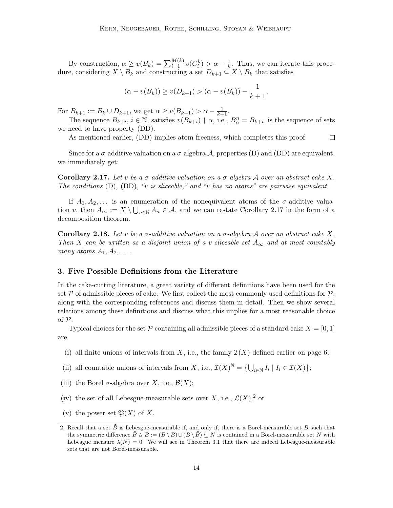By construction,  $\alpha \ge v(B_k) = \sum_{i=1}^{M(k)} v(C_i^k) > \alpha - \frac{1}{k}$  $\frac{1}{k}$ . Thus, we can iterate this procedure, considering  $X \setminus B_k$  and constructing a set  $D_{k+1} \subseteq X \setminus B_k$  that satisfies

$$
(\alpha - v(B_k)) \ge v(D_{k+1}) > (\alpha - v(B_k)) - \frac{1}{k+1}.
$$

For  $B_{k+1} := B_k \cup D_{k+1}$ , we get  $\alpha \ge v(B_{k+1}) > \alpha - \frac{1}{k+1}$ .

The sequence  $B_{k+i}$ ,  $i \in \mathbb{N}$ , satisfies  $v(B_{k+i}) \uparrow \alpha$ , i.e.,  $B_{\alpha}^n = B_{k+n}$  is the sequence of sets we need to have property (DD).

As mentioned earlier, (DD) implies atom-freeness, which completes this proof.  $\Box$ 

Since for a  $\sigma$ -additive valuation on a  $\sigma$ -algebra A, properties (D) and (DD) are equivalent, we immediately get:

Corollary 2.17. Let v be a  $\sigma$ -additive valuation on a  $\sigma$ -algebra A over an abstract cake X. The conditions  $(D)$ ,  $(DD)$ , "v is sliceable," and "v has no atoms" are pairwise equivalent.

If  $A_1, A_2, \ldots$  is an enumeration of the nonequivalent atoms of the  $\sigma$ -additive valuation v, then  $A_{\infty} := X \setminus \bigcup_{n \in \mathbb{N}} A_n \in \mathcal{A}$ , and we can restate Corollary 2.17 in the form of a decomposition theorem.

Corollary 2.18. Let v be a  $\sigma$ -additive valuation on a  $\sigma$ -algebra A over an abstract cake X. Then X can be written as a disjoint union of a v-sliceable set  $A_{\infty}$  and at most countably many atoms  $A_1, A_2, \ldots$ 

# 3. Five Possible Definitions from the Literature

In the cake-cutting literature, a great variety of different definitions have been used for the set  $\mathcal P$  of admissible pieces of cake. We first collect the most commonly used definitions for  $\mathcal P$ , along with the corresponding references and discuss them in detail. Then we show several relations among these definitions and discuss what this implies for a most reasonable choice of P.

Typical choices for the set P containing all admissible pieces of a standard cake  $X = [0, 1]$ are

- (i) all finite unions of intervals from X, i.e., the family  $\mathcal{I}(X)$  defined earlier on page 6;
- (ii) all countable unions of intervals from X, i.e.,  $\mathcal{I}(X)^{\mathbb{N}} = \left\{ \bigcup_{i \in \mathbb{N}} I_i \mid I_i \in \mathcal{I}(X) \right\};$
- (iii) the Borel  $\sigma$ -algebra over X, i.e.,  $\mathcal{B}(X)$ ;
- (iv) the set of all Lebesgue-measurable sets over X, i.e.,  $\mathcal{L}(X)$ <sup>2</sup> or
- (v) the power set  $\mathfrak{P}(X)$  of X.

<sup>2.</sup> Recall that a set  $\tilde{B}$  is Lebesgue-measurable if, and only if, there is a Borel-measurable set B such that the symmetric difference  $B \Delta B := (B \ B) \cup (B \ B) \subseteq N$  is contained in a Borel-measurable set N with Lebesgue measure  $\lambda(N) = 0$ . We will see in Theorem 3.1 that there are indeed Lebesgue-measurable sets that are not Borel-measurable.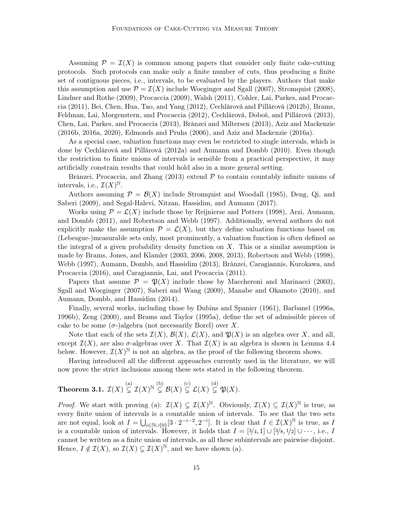Assuming  $\mathcal{P} = \mathcal{I}(X)$  is common among papers that consider only finite cake-cutting protocols. Such protocols can make only a finite number of cuts, thus producing a finite set of contiguous pieces, i.e., intervals, to be evaluated by the players. Authors that make this assumption and use  $\mathcal{P} = \mathcal{I}(X)$  include Woeginger and Sgall (2007), Stromquist (2008), Lindner and Rothe (2009), Procaccia (2009), Walsh (2011), Cohler, Lai, Parkes, and Procaccia (2011), Bei, Chen, Hua, Tao, and Yang (2012), Cechlárová and Pillárová (2012b), Brams, Feldman, Lai, Morgenstern, and Procaccia (2012), Cechlárová, Doboš, and Pillárová (2013), Chen, Lai, Parkes, and Procaccia (2013), Brânzei and Miltersen (2013), Aziz and Mackenzie (2016b, 2016a, 2020), Edmonds and Pruhs (2006), and Aziz and Mackenzie (2016a).

As a special case, valuation functions may even be restricted to single intervals, which is done by Cechlárová and Pillárová (2012a) and Aumann and Dombb (2010). Even though the restriction to finite unions of intervals is sensible from a practical perspective, it may artificially constrain results that could hold also in a more general setting.

Brânzei, Procaccia, and Zhang  $(2013)$  extend  $P$  to contain countably infinite unions of intervals, i.e.,  $\mathcal{I}(X)^{\mathbb{N}}$ .

Authors assuming  $\mathcal{P} = \mathcal{B}(X)$  include Stromquist and Woodall (1985), Deng, Qi, and Saberi (2009), and Segal-Halevi, Nitzan, Hassidim, and Aumann (2017).

Works using  $\mathcal{P} = \mathcal{L}(X)$  include those by Reijnierse and Potters (1998), Arzi, Aumann, and Dombb (2011), and Robertson and Webb (1997). Additionally, several authors do not explicitly make the assumption  $\mathcal{P} = \mathcal{L}(X)$ , but they define valuation functions based on (Lebesgue-)measurable sets only, most prominently, a valuation function is often defined as the integral of a given probability density function on  $X$ . This or a similar assumption is made by Brams, Jones, and Klamler (2003, 2006, 2008, 2013), Robertson and Webb (1998), Webb (1997), Aumann, Dombb, and Hassidim (2013), Brânzei, Caragiannis, Kurokawa, and Procaccia (2016), and Caragiannis, Lai, and Procaccia (2011).

Papers that assume  $\mathcal{P} = \mathfrak{P}(X)$  include those by Maccheroni and Marinacci (2003), Sgall and Woeginger (2007), Saberi and Wang (2009), Manabe and Okamoto (2010), and Aumann, Dombb, and Hassidim (2014).

Finally, several works, including those by Dubins and Spanier (1961), Barbanel (1996a, 1996b), Zeng (2000), and Brams and Taylor (1995a), define the set of admissible pieces of cake to be some  $(\sigma$ -)algebra (not necessarily Borel) over X.

Note that each of the sets  $\mathcal{I}(X)$ ,  $\mathcal{B}(X)$ ,  $\mathcal{L}(X)$ , and  $\mathfrak{P}(X)$  is an algebra over X, and all, except  $\mathcal{I}(X)$ , are also  $\sigma$ -algebras over X. That  $\mathcal{I}(X)$  is an algebra is shown in Lemma 4.4 below. However,  $\mathcal{I}(X)^{\mathbb{N}}$  is not an algebra, as the proof of the following theorem shows.

Having introduced all the different approaches currently used in the literature, we will now prove the strict inclusions among these sets stated in the following theorem.

# Theorem 3.1.  $\mathcal{I}(X) \overset{(a)}{\subsetneq} \mathcal{I}(X)^{\mathbb{N}} \overset{(b)}{\subsetneq} \mathcal{B}(X) \overset{(c)}{\subsetneq} \mathcal{L}(X) \overset{(d)}{\subsetneq} \mathfrak{P}(X)$ .

*Proof.* We start with proving (a):  $\mathcal{I}(X) \subsetneq \mathcal{I}(X)^{\mathbb{N}}$ . Obviously,  $\mathcal{I}(X) \subseteq \mathcal{I}(X)^{\mathbb{N}}$  is true, as every finite union of intervals is a countable union of intervals. To see that the two sets are not equal, look at  $I = \bigcup_{i \in \mathbb{N} \cup \{0\}} [3 \cdot 2^{-i-2}, 2^{-i}]$ . It is clear that  $I \in \mathcal{I}(X)^{\mathbb{N}}$  is true, as I is a countable union of intervals. However, it holds that  $I = [3/4, 1] \cup [3/8, 1/2] \cup \cdots$ , i.e., I cannot be written as a finite union of intervals, as all these subintervals are pairwise disjoint. Hence,  $I \notin \mathcal{I}(X)$ , so  $\mathcal{I}(X) \subsetneq \mathcal{I}(X)^{\mathbb{N}}$ , and we have shown (a).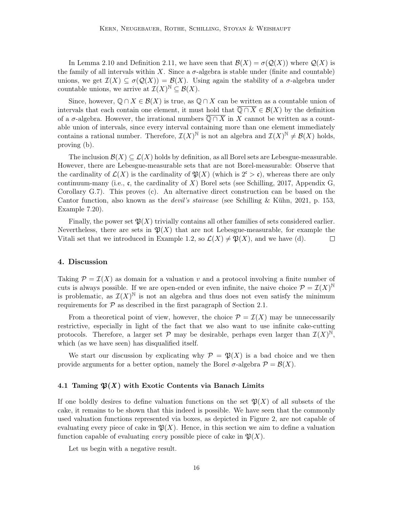In Lemma 2.10 and Definition 2.11, we have seen that  $\mathcal{B}(X) = \sigma(\mathcal{Q}(X))$  where  $\mathcal{Q}(X)$  is the family of all intervals within X. Since a  $\sigma$ -algebra is stable under (finite and countable) unions, we get  $\mathcal{I}(X) \subseteq \sigma(\mathcal{Q}(X)) = \mathcal{B}(X)$ . Using again the stability of a  $\sigma$ -algebra under countable unions, we arrive at  $\mathcal{I}(X)^{\mathbb{N}} \subseteq \mathcal{B}(X)$ .

Since, however,  $\mathbb{Q} \cap X \in \mathcal{B}(X)$  is true, as  $\mathbb{Q} \cap X$  can be written as a countable union of intervals that each contain one element, it must hold that  $\overline{Q \cap X} \in \mathcal{B}(X)$  by the definition of a  $\sigma$ -algebra. However, the irrational numbers  $\overline{Q \cap X}$  in X cannot be written as a countable union of intervals, since every interval containing more than one element immediately contains a rational number. Therefore,  $\mathcal{I}(X)^{\mathbb{N}}$  is not an algebra and  $\mathcal{I}(X)^{\mathbb{N}} \neq \mathcal{B}(X)$  holds, proving (b).

The inclusion  $\mathcal{B}(X) \subseteq \mathcal{L}(X)$  holds by definition, as all Borel sets are Lebesgue-measurable. However, there are Lebesgue-measurable sets that are not Borel-measurable: Observe that the cardinality of  $\mathcal{L}(X)$  is the cardinality of  $\mathfrak{P}(X)$  (which is  $2^{\mathfrak{c}} > \mathfrak{c}$ ), whereas there are only continuum-many (i.e., c, the cardinality of X) Borel sets (see Schilling, 2017, Appendix G, Corollary G.7). This proves (c). An alternative direct construction can be based on the Cantor function, also known as the *devil's staircase* (see Schilling & Kühn, 2021, p. 153, Example 7.20).

Finally, the power set  $\mathfrak{P}(X)$  trivially contains all other families of sets considered earlier. Nevertheless, there are sets in  $\mathfrak{P}(X)$  that are not Lebesgue-measurable, for example the Vitali set that we introduced in Example 1.2, so  $\mathcal{L}(X) \neq \mathfrak{P}(X)$ , and we have (d).  $\Box$ 

#### 4. Discussion

Taking  $\mathcal{P} = \mathcal{I}(X)$  as domain for a valuation v and a protocol involving a finite number of cuts is always possible. If we are open-ended or even infinite, the naive choice  $\mathcal{P} = \mathcal{I}(X)^{\mathbb{N}}$ is problematic, as  $\mathcal{I}(X)^{\mathbb{N}}$  is not an algebra and thus does not even satisfy the minimum requirements for  $P$  as described in the first paragraph of Section 2.1.

From a theoretical point of view, however, the choice  $\mathcal{P} = \mathcal{I}(X)$  may be unnecessarily restrictive, especially in light of the fact that we also want to use infinite cake-cutting protocols. Therefore, a larger set  $P$  may be desirable, perhaps even larger than  $\mathcal{I}(X)^{\mathbb{N}},$ which (as we have seen) has disqualified itself.

We start our discussion by explicating why  $\mathcal{P} = \mathfrak{P}(X)$  is a bad choice and we then provide arguments for a better option, namely the Borel  $\sigma$ -algebra  $\mathcal{P} = \mathcal{B}(X)$ .

#### 4.1 Taming  $\mathfrak{P}(X)$  with Exotic Contents via Banach Limits

If one boldly desires to define valuation functions on the set  $\mathfrak{P}(X)$  of all subsets of the cake, it remains to be shown that this indeed is possible. We have seen that the commonly used valuation functions represented via boxes, as depicted in Figure 2, are not capable of evaluating every piece of cake in  $\mathfrak{P}(X)$ . Hence, in this section we aim to define a valuation function capable of evaluating *every* possible piece of cake in  $\mathfrak{P}(X)$ .

Let us begin with a negative result.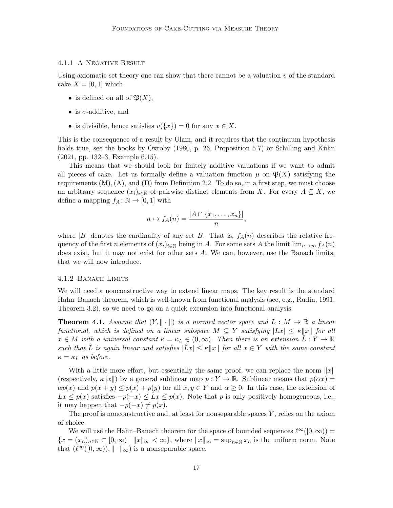# 4.1.1 A Negative Result

Using axiomatic set theory one can show that there cannot be a valuation  $v$  of the standard cake  $X = [0, 1]$  which

- is defined on all of  $\mathfrak{P}(X)$ ,
- is  $\sigma$ -additive, and
- is divisible, hence satisfies  $v({x}) = 0$  for any  $x \in X$ .

This is the consequence of a result by Ulam, and it requires that the continuum hypothesis holds true, see the books by Oxtoby (1980, p. 26, Proposition 5.7) or Schilling and Kühn (2021, pp. 132–3, Example 6.15).

This means that we should look for finitely additive valuations if we want to admit all pieces of cake. Let us formally define a valuation function  $\mu$  on  $\mathfrak{P}(X)$  satisfying the requirements  $(M), (A),$  and  $(D)$  from Definition 2.2. To do so, in a first step, we must choose an arbitrary sequence  $(x_i)_{i\in\mathbb{N}}$  of pairwise distinct elements from X. For every  $A\subseteq X$ , we define a mapping  $f_A: \mathbb{N} \to [0,1]$  with

$$
n \mapsto f_A(n) = \frac{|A \cap \{x_1, \dots, x_n\}|}{n},
$$

where |B| denotes the cardinality of any set B. That is,  $f_A(n)$  describes the relative frequency of the first n elements of  $(x_i)_{i\in\mathbb{N}}$  being in A. For some sets A the limit  $\lim_{n\to\infty} f_A(n)$ does exist, but it may not exist for other sets A. We can, however, use the Banach limits, that we will now introduce.

#### 4.1.2 Banach Limits

We will need a nonconstructive way to extend linear maps. The key result is the standard Hahn–Banach theorem, which is well-known from functional analysis (see, e.g., Rudin, 1991, Theorem 3.2), so we need to go on a quick excursion into functional analysis.

**Theorem 4.1.** Assume that  $(Y, \|\cdot\|)$  is a normed vector space and  $L : M \to \mathbb{R}$  a linear functional, which is defined on a linear subspace  $M \subseteq Y$  satisfying  $|Lx| \leq \kappa ||x||$  for all  $x \in M$  with a universal constant  $\kappa = \kappa_L \in (0,\infty)$ . Then there is an extension  $\tilde{L}: Y \to \mathbb{R}$ such that  $\tilde{L}$  is again linear and satisfies  $|\tilde{L}x| \leq \kappa ||x||$  for all  $x \in Y$  with the same constant  $\kappa = \kappa_L$  as before.

With a little more effort, but essentially the same proof, we can replace the norm  $||x||$ (respectively,  $\kappa ||x||$ ) by a general sublinear map  $p : Y \to \mathbb{R}$ . Sublinear means that  $p(\alpha x) =$  $\alpha p(x)$  and  $p(x + y) \leq p(x) + p(y)$  for all  $x, y \in Y$  and  $\alpha \geq 0$ . In this case, the extension of  $Lx \leq p(x)$  satisfies  $-p(-x) \leq Lx \leq p(x)$ . Note that p is only positively homogeneous, i.e., it may happen that  $-p(-x) \neq p(x)$ .

The proof is nonconstructive and, at least for nonseparable spaces  $Y$ , relies on the axiom of choice.

We will use the Hahn–Banach theorem for the space of bounded sequences  $\ell^{\infty}([0,\infty)) =$  ${x = (x_n)_{n \in \mathbb{N}} \subset [0, \infty) | ||x||_{\infty} < \infty}$ , where  $||x||_{\infty} = \sup_{n \in \mathbb{N}} x_n$  is the uniform norm. Note that  $(\ell^{\infty}([0,\infty)), \| \cdot \|_{\infty})$  is a nonseparable space.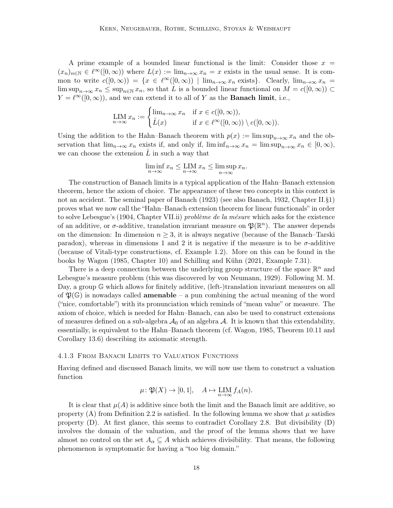A prime example of a bounded linear functional is the limit: Consider those  $x =$  $(x_n)_{n\in\mathbb{N}}\in\ell^{\infty}([0,\infty))$  where  $L(x):=\lim_{n\to\infty}x_n=x$  exists in the usual sense. It is common to write  $c([0,\infty)) = \{x \in \ell^{\infty}([0,\infty)) \mid \lim_{n\to\infty} x_n \text{ exists}\}.$  Clearly,  $\lim_{n\to\infty} x_n =$  $\limsup_{n\to\infty} x_n \leq \sup_{n\in\mathbb{N}} x_n$ , so that L is a bounded linear functional on  $M = c([0,\infty)) \subset$  $Y = \ell^{\infty}([0,\infty))$ , and we can extend it to all of Y as the **Banach limit**, i.e.,

$$
\underset{n \to \infty}{\text{LIM}} x_n := \begin{cases} \lim_{n \to \infty} x_n & \text{if } x \in c([0, \infty)), \\ \hat{L}(x) & \text{if } x \in \ell^{\infty}([0, \infty)) \setminus c([0, \infty)). \end{cases}
$$

Using the addition to the Hahn–Banach theorem with  $p(x) := \limsup_{n \to \infty} x_n$  and the observation that  $\lim_{n\to\infty}x_n$  exists if, and only if,  $\liminf_{n\to\infty}x_n = \limsup_{n\to\infty}x_n \in [0,\infty)$ , we can choose the extension  $\tilde{L}$  in such a way that

$$
\liminf_{n \to \infty} x_n \leq \limsup_{n \to \infty} x_n \leq \limsup_{n \to \infty} x_n.
$$

The construction of Banach limits is a typical application of the Hahn–Banach extension theorem, hence the axiom of choice. The appearance of these two concepts in this context is not an accident. The seminal paper of Banach (1923) (see also Banach, 1932, Chapter II.§1) proves what we now call the "Hahn–Banach extension theorem for linear functionals" in order to solve Lebesgue's (1904, Chapter VII.ii) *problème de la mésure* which asks for the existence of an additive, or  $\sigma$ -additive, translation invariant measure on  $\mathfrak{P}(\mathbb{R}^n)$ . The answer depends on the dimension: In dimension  $n \geq 3$ , it is always negative (because of the Banach–Tarski paradox), whereas in dimensions 1 and 2 it is negative if the measure is to be  $\sigma$ -additive (because of Vitali-type constructions, cf. Example 1.2). More on this can be found in the books by Wagon (1985, Chapter 10) and Schilling and Kühn (2021, Example 7.31).

There is a deep connection between the underlying group structure of the space  $\mathbb{R}^n$  and Lebesgue's measure problem (this was discovered by von Neumann, 1929). Following M. M. Day, a group G which allows for finitely additive, (left-)translation invariant measures on all of  $\mathfrak{P}(\mathbb{G})$  is nowadays called **amenable** – a pun combining the actual meaning of the word ("nice, comfortable") with its pronunciation which reminds of "mean value" or measure. The axiom of choice, which is needed for Hahn–Banach, can also be used to construct extensions of measures defined on a sub-algebra  $\mathcal{A}_0$  of an algebra  $\mathcal{A}$ . It is known that this extendability, essentially, is equivalent to the Hahn–Banach theorem (cf. Wagon, 1985, Theorem 10.11 and Corollary 13.6) describing its axiomatic strength.

#### 4.1.3 From Banach Limits to Valuation Functions

Having defined and discussed Banach limits, we will now use them to construct a valuation function

$$
\mu: \mathfrak{P}(X) \to [0,1], \quad A \mapsto \underset{n \to \infty}{\text{LIM}} f_A(n).
$$

It is clear that  $\mu(A)$  is additive since both the limit and the Banach limit are additive, so property (A) from Definition 2.2 is satisfied. In the following lemma we show that  $\mu$  satisfies property (D). At first glance, this seems to contradict Corollary 2.8. But divisibility (D) involves the domain of the valuation, and the proof of the lemma shows that we have almost no control on the set  $A_{\alpha} \subseteq A$  which achieves divisibility. That means, the following phenomenon is symptomatic for having a "too big domain."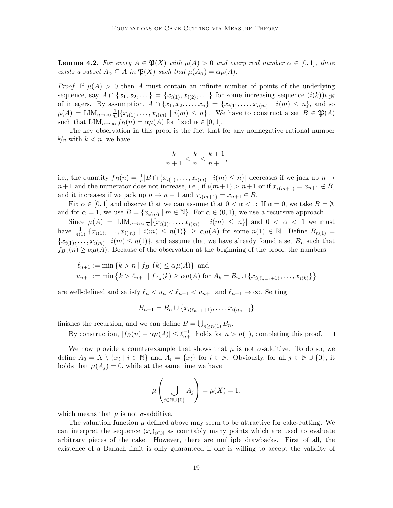**Lemma 4.2.** For every  $A \in \mathfrak{P}(X)$  with  $\mu(A) > 0$  and every real number  $\alpha \in [0,1]$ , there exists a subset  $A_{\alpha} \subseteq A$  in  $\mathfrak{P}(X)$  such that  $\mu(A_{\alpha}) = \alpha \mu(A)$ .

*Proof.* If  $\mu(A) > 0$  then A must contain an infinite number of points of the underlying sequence, say  $A \cap \{x_1, x_2, \ldots\} = \{x_{i(1)}, x_{i(2)}, \ldots\}$  for some increasing sequence  $(i(k))_{k \in \mathbb{N}}$ of integers. By assumption,  $A \cap \{x_1, x_2, \ldots, x_n\} = \{x_{i(1)}, \ldots, x_{i(m)} \mid i(m) \leq n\}$ , and so  $\mu(A) = \text{LIM}_{n \to \infty} \frac{1}{n}$  $\frac{1}{n}|\{x_{i(1)},\ldots,x_{i(m)} \mid i(m) \leq n\}|$ . We have to construct a set  $B \in \mathfrak{P}(A)$ such that  $\text{LIM}_{n\to\infty} f_B(n) = \alpha \mu(A)$  for fixed  $\alpha \in [0,1]$ .

The key observation in this proof is the fact that for any nonnegative rational number  $k/n$  with  $k < n$ , we have

$$
\frac{k}{n+1} < \frac{k}{n} < \frac{k+1}{n+1},
$$

i.e., the quantity  $f_B(n) = \frac{1}{n} |B \cap \{x_{i(1)}, \ldots, x_{i(m)} \mid i(m) \leq n\}|$  decreases if we jack up  $n \to$  $n+1$  and the numerator does not increase, i.e., if  $i(m+1) > n+1$  or if  $x_{i(m+1)} = x_{n+1} \notin B$ , and it increases if we jack up  $n \to n+1$  and  $x_{i(m+1)} = x_{n+1} \in B$ .

Fix  $\alpha \in [0,1]$  and observe that we can assume that  $0 < \alpha < 1$ : If  $\alpha = 0$ , we take  $B = \emptyset$ , and for  $\alpha = 1$ , we use  $B = \{x_{i(m)} \mid m \in \mathbb{N}\}\$ . For  $\alpha \in (0, 1)$ , we use a recursive approach.

Since  $\mu(A) = \text{LIM}_{n \to \infty} \frac{1}{n}$  $\frac{1}{n} |\{x_{i(1)}, \ldots, x_{i(m)} | i(m) \leq n\}|$  and  $0 < \alpha < 1$  we must have  $\frac{1}{n(1)}|\{x_{i(1)},...,x_{i(m)} | i(m) \leq n(1)\}| \geq \alpha \mu(A)$  for some  $n(1) \in \mathbb{N}$ . Define  $B_{n(1)} =$  ${x_{i(1)},...,x_{i(m)} | i(m) \leq n(1)}$ , and assume that we have already found a set  $B_n$  such that  $f_{B_n}(n) \ge \alpha \mu(A)$ . Because of the observation at the beginning of the proof, the numbers

$$
\ell_{n+1} := \min \{ k > n \mid f_{B_n}(k) \le \alpha \mu(A) \} \text{ and}
$$
  

$$
u_{n+1} := \min \{ k > \ell_{n+1} \mid f_{A_k}(k) \ge \alpha \mu(A) \text{ for } A_k = B_n \cup \{ x_{i(\ell_{n+1}+1)}, \dots, x_{i(k)} \} \}
$$

are well-defined and satisfy  $\ell_n < u_n < \ell_{n+1} < u_{n+1}$  and  $\ell_{n+1} \to \infty$ . Setting

$$
B_{n+1} = B_n \cup \{x_{i(\ell_{n+1}+1)}, \ldots, x_{i(u_{n+1})}\}
$$

finishes the recursion, and we can define  $B = \bigcup_{n \geq n(1)} B_n$ .

By construction,  $|f_B(n) - \alpha \mu(A)| \leq \ell_{n+1}^{-1}$  holds for  $n > n(1)$ , completing this proof.

We now provide a counterexample that shows that  $\mu$  is not  $\sigma$ -additive. To do so, we define  $A_0 = X \setminus \{x_i \mid i \in \mathbb{N}\}\$ and  $A_i = \{x_i\}$  for  $i \in \mathbb{N}$ . Obviously, for all  $j \in \mathbb{N} \cup \{0\}$ , it holds that  $\mu(A_i) = 0$ , while at the same time we have

$$
\mu\left(\bigcup_{j\in\mathbb{N}\cup\{0\}}A_j\right)=\mu(X)=1,
$$

which means that  $\mu$  is not  $\sigma$ -additive.

The valuation function  $\mu$  defined above may seem to be attractive for cake-cutting. We can interpret the sequence  $(x_i)_{i\in\mathbb{N}}$  as countably many points which are used to evaluate arbitrary pieces of the cake. However, there are multiple drawbacks. First of all, the existence of a Banach limit is only guaranteed if one is willing to accept the validity of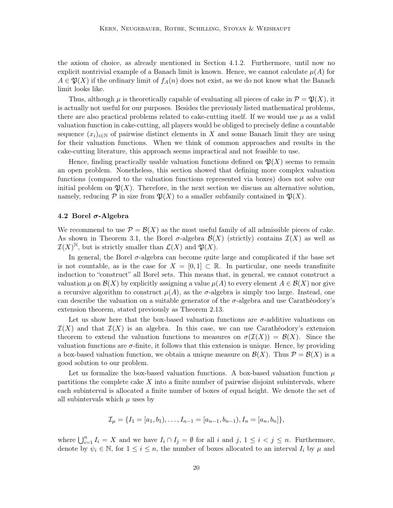the axiom of choice, as already mentioned in Section 4.1.2. Furthermore, until now no explicit nontrivial example of a Banach limit is known. Hence, we cannot calculate  $\mu(A)$  for  $A \in \mathfrak{P}(X)$  if the ordinary limit of  $f_A(n)$  does not exist, as we do not know what the Banach limit looks like.

Thus, although  $\mu$  is theoretically capable of evaluating all pieces of cake in  $\mathcal{P} = \mathfrak{P}(X)$ , it is actually not useful for our purposes. Besides the previously listed mathematical problems, there are also practical problems related to cake-cutting itself. If we would use  $\mu$  as a valid valuation function in cake-cutting, all players would be obliged to precisely define a countable sequence  $(x_i)_{i\in\mathbb{N}}$  of pairwise distinct elements in X and some Banach limit they are using for their valuation functions. When we think of common approaches and results in the cake-cutting literature, this approach seems impractical and not feasible to use.

Hence, finding practically usable valuation functions defined on  $\mathfrak{P}(X)$  seems to remain an open problem. Nonetheless, this section showed that defining more complex valuation functions (compared to the valuation functions represented via boxes) does not solve our initial problem on  $\mathfrak{P}(X)$ . Therefore, in the next section we discuss an alternative solution, namely, reducing  $P$  in size from  $\mathfrak{P}(X)$  to a smaller subfamily contained in  $\mathfrak{P}(X)$ .

#### 4.2 Borel  $\sigma$ -Algebra

We recommend to use  $\mathcal{P} = \mathcal{B}(X)$  as the most useful family of all admissible pieces of cake. As shown in Theorem 3.1, the Borel  $\sigma$ -algebra  $\mathcal{B}(X)$  (strictly) contains  $\mathcal{I}(X)$  as well as  $\mathcal{I}(X)^{\mathbb{N}}$ , but is strictly smaller than  $\mathcal{L}(X)$  and  $\mathfrak{P}(X)$ .

In general, the Borel  $\sigma$ -algebra can become quite large and complicated if the base set is not countable, as is the case for  $X = [0,1] \subset \mathbb{R}$ . In particular, one needs transfinite induction to "construct" all Borel sets. This means that, in general, we cannot construct a valuation  $\mu$  on  $\mathcal{B}(X)$  by explicitly assigning a value  $\mu(A)$  to every element  $A \in \mathcal{B}(X)$  nor give a recursive algorithm to construct  $\mu(A)$ , as the  $\sigma$ -algebra is simply too large. Instead, one can describe the valuation on a suitable generator of the  $\sigma$ -algebra and use Carathéodory's extension theorem, stated previously as Theorem 2.13.

Let us show here that the box-based valuation functions are  $\sigma$ -additive valuations on  $\mathcal{I}(X)$  and that  $\mathcal{I}(X)$  is an algebra. In this case, we can use Carathéodory's extension theorem to extend the valuation functions to measures on  $\sigma(\mathcal{I}(X)) = \mathcal{B}(X)$ . Since the valuation functions are  $\sigma$ -finite, it follows that this extension is unique. Hence, by providing a box-based valuation function, we obtain a unique measure on  $\mathcal{B}(X)$ . Thus  $\mathcal{P} = \mathcal{B}(X)$  is a good solution to our problem.

Let us formalize the box-based valuation functions. A box-based valuation function  $\mu$ partitions the complete cake  $X$  into a finite number of pairwise disjoint subintervals, where each subinterval is allocated a finite number of boxes of equal height. We denote the set of all subintervals which  $\mu$  uses by

$$
\mathcal{I}_{\mu} = \{I_1 = [a_1, b_1), \dots, I_{n-1} = [a_{n-1}, b_{n-1}), I_n = [a_n, b_n]\},\
$$

where  $\bigcup_{i=1}^n I_i = X$  and we have  $I_i \cap I_j = \emptyset$  for all i and j,  $1 \leq i < j \leq n$ . Furthermore, denote by  $\psi_i \in \mathbb{N}$ , for  $1 \leq i \leq n$ , the number of boxes allocated to an interval  $I_i$  by  $\mu$  and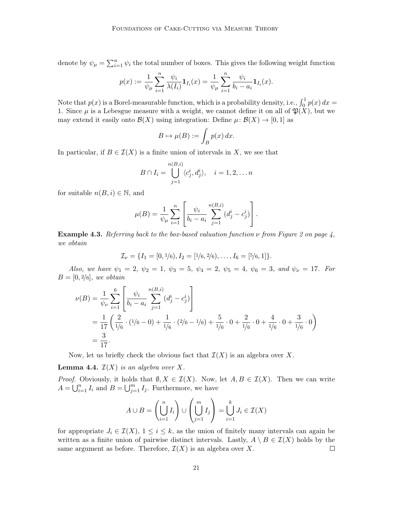denote by  $\psi_{\mu} = \sum_{i=1}^{n} \psi_i$  the total number of boxes. This gives the following weight function

$$
p(x) := \frac{1}{\psi_{\mu}} \sum_{i=1}^{n} \frac{\psi_{i}}{\lambda(I_{i})} \mathbf{1}_{I_{i}}(x) = \frac{1}{\psi_{\mu}} \sum_{i=1}^{n} \frac{\psi_{i}}{b_{i} - a_{i}} \mathbf{1}_{I_{i}}(x).
$$

Note that  $p(x)$  is a Borel-measurable function, which is a probability density, i.e.,  $\int_0^1 p(x) dx =$ 1. Since  $\mu$  is a Lebesgue measure with a weight, we cannot define it on all of  $\mathfrak{P}(X)$ , but we may extend it easily onto  $\mathcal{B}(X)$  using integration: Define  $\mu: \mathcal{B}(X) \to [0,1]$  as

$$
B \mapsto \mu(B) := \int_B p(x) \, dx.
$$

In particular, if  $B \in \mathcal{I}(X)$  is a finite union of intervals in X, we see that

$$
B \cap I_i = \bigcup_{j=1}^{n(B,i)} \langle c_j^i, d_j^i \rangle, \quad i = 1, 2, \dots n
$$

for suitable  $n(B, i) \in \mathbb{N}$ , and

$$
\mu(B) = \frac{1}{\psi_{\mu}} \sum_{i=1}^{n} \left[ \frac{\psi_{i}}{b_{i} - a_{i}} \sum_{j=1}^{n(B,i)} (d_{j}^{i} - c_{j}^{i}) \right].
$$

**Example 4.3.** Referring back to the box-based valuation function  $\nu$  from Figure 2 on page 4, we obtain

$$
\mathcal{I}_{\nu} = \{I_1 = [0, 1/6), I_2 = [1/6, 2/6), \dots, I_6 = [5/6, 1]\}.
$$

Also, we have  $\psi_1 = 2$ ,  $\psi_2 = 1$ ,  $\psi_3 = 5$ ,  $\psi_4 = 2$ ,  $\psi_5 = 4$ ,  $\psi_6 = 3$ , and  $\psi_\nu = 17$ . For  $B = [0, 2/6]$ , we obtain

$$
\nu(B) = \frac{1}{\psi_{\nu}} \sum_{i=1}^{6} \left[ \frac{\psi_{i}}{b_{i} - a_{i}} \sum_{j=1}^{n(B,i)} (d_{j}^{i} - c_{j}^{i}) \right]
$$
  
=  $\frac{1}{17} \left( \frac{2}{1/6} \cdot (1/6 - 0) + \frac{1}{1/6} \cdot (2/6 - 1/6) + \frac{5}{1/6} \cdot 0 + \frac{2}{1/6} \cdot 0 + \frac{4}{1/6} \cdot 0 + \frac{3}{1/6} \cdot 0 \right)$   
=  $\frac{3}{17}$ .

Now, let us briefly check the obvious fact that  $\mathcal{I}(X)$  is an algebra over X.

**Lemma 4.4.**  $\mathcal{I}(X)$  is an algebra over X.

*Proof.* Obviously, it holds that  $\emptyset, X \in \mathcal{I}(X)$ . Now, let  $A, B \in \mathcal{I}(X)$ . Then we can write  $A = \bigcup_{i=1}^{n} I_i$  and  $B = \bigcup_{j=1}^{m} I_j$ . Furthermore, we have

$$
A \cup B = \left(\bigcup_{i=1}^{n} I_i\right) \cup \left(\bigcup_{j=1}^{m} I_j\right) = \bigcup_{i=1}^{k} J_i \in \mathcal{I}(X)
$$

for appropriate  $J_i \in \mathcal{I}(X), 1 \leq i \leq k$ , as the union of finitely many intervals can again be written as a finite union of pairwise distinct intervals. Lastly,  $A \setminus B \in \mathcal{I}(X)$  holds by the same argument as before. Therefore,  $\mathcal{I}(X)$  is an algebra over X.  $\Box$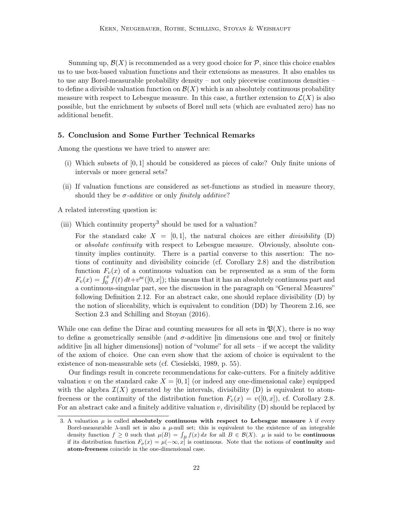Summing up,  $\mathcal{B}(X)$  is recommended as a very good choice for  $\mathcal{P}$ , since this choice enables us to use box-based valuation functions and their extensions as measures. It also enables us to use any Borel-measurable probability density – not only piecewise continuous densities – to define a divisible valuation function on  $\mathcal{B}(X)$  which is an absolutely continuous probability measure with respect to Lebesgue measure. In this case, a further extension to  $\mathcal{L}(X)$  is also possible, but the enrichment by subsets of Borel null sets (which are evaluated zero) has no additional benefit.

#### 5. Conclusion and Some Further Technical Remarks

Among the questions we have tried to answer are:

- (i) Which subsets of [0, 1] should be considered as pieces of cake? Only finite unions of intervals or more general sets?
- (ii) If valuation functions are considered as set-functions as studied in measure theory, should they be  $\sigma$ -additive or only finitely additive?

A related interesting question is:

(iii) Which continuity property<sup>3</sup> should be used for a valuation?

For the standard cake  $X = [0, 1]$ , the natural choices are either *divisibility* (D) or absolute continuity with respect to Lebesgue measure. Obviously, absolute continuity implies continuity. There is a partial converse to this assertion: The notions of continuity and divisibility coincide (cf. Corollary 2.8) and the distribution function  $F_v(x)$  of a continuous valuation can be represented as a sum of the form  $F_v(x) = \int_0^x f(t) dt + v^{\text{sc}}([0, x])$ ; this means that it has an absolutely continuous part and a continuous-singular part, see the discussion in the paragraph on "General Measures" following Definition 2.12. For an abstract cake, one should replace divisibility (D) by the notion of sliceability, which is equivalent to condition (DD) by Theorem 2.16, see Section 2.3 and Schilling and Stoyan (2016).

While one can define the Dirac and counting measures for all sets in  $\mathfrak{P}(X)$ , there is no way to define a geometrically sensible (and  $\sigma$ -additive [in dimensions one and two] or finitely additive [in all higher dimensions]) notion of "volume" for all sets – if we accept the validity of the axiom of choice. One can even show that the axiom of choice is equivalent to the existence of non-measurable sets (cf. Ciesielski, 1989, p. 55).

Our findings result in concrete recommendations for cake-cutters. For a finitely additive valuation v on the standard cake  $X = [0, 1]$  (or indeed any one-dimensional cake) equipped with the algebra  $\mathcal{I}(X)$  generated by the intervals, divisibility (D) is equivalent to atomfreeness or the continuity of the distribution function  $F_v(x) = v([0, x])$ , cf. Corollary 2.8. For an abstract cake and a finitely additive valuation  $v$ , divisibility  $(D)$  should be replaced by

<sup>3.</sup> A valuation  $\mu$  is called absolutely continuous with respect to Lebesgue measure  $\lambda$  if every Borel-measurable  $\lambda$ -null set is also a  $\mu$ -null set; this is equivalent to the existence of an integrable density function  $f \geq 0$  such that  $\mu(B) = \int_B f(x) dx$  for all  $B \in \mathcal{B}(X)$ .  $\mu$  is said to be **continuous** if its distribution function  $F_{\mu}(x) = \mu(-\infty, x]$  is continuous. Note that the notions of **continuity** and atom-freeness coincide in the one-dimensional case.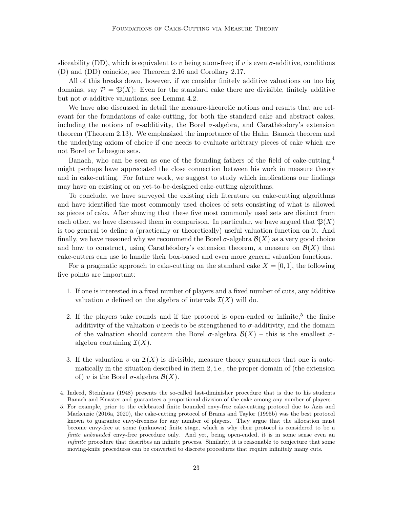sliceability (DD), which is equivalent to v being atom-free; if v is even  $\sigma$ -additive, conditions (D) and (DD) coincide, see Theorem 2.16 and Corollary 2.17.

All of this breaks down, however, if we consider finitely additive valuations on too big domains, say  $\mathcal{P} = \mathfrak{P}(X)$ : Even for the standard cake there are divisible, finitely additive but not  $\sigma$ -additive valuations, see Lemma 4.2.

We have also discussed in detail the measure-theoretic notions and results that are relevant for the foundations of cake-cutting, for both the standard cake and abstract cakes, including the notions of  $\sigma$ -additivity, the Borel  $\sigma$ -algebra, and Carathéodory's extension theorem (Theorem 2.13). We emphasized the importance of the Hahn–Banach theorem and the underlying axiom of choice if one needs to evaluate arbitrary pieces of cake which are not Borel or Lebesgue sets.

Banach, who can be seen as one of the founding fathers of the field of cake-cutting,  $4$ might perhaps have appreciated the close connection between his work in measure theory and in cake-cutting. For future work, we suggest to study which implications our findings may have on existing or on yet-to-be-designed cake-cutting algorithms.

To conclude, we have surveyed the existing rich literature on cake-cutting algorithms and have identified the most commonly used choices of sets consisting of what is allowed as pieces of cake. After showing that these five most commonly used sets are distinct from each other, we have discussed them in comparison. In particular, we have argued that  $\mathfrak{P}(X)$ is too general to define a (practically or theoretically) useful valuation function on it. And finally, we have reasoned why we recommend the Borel  $\sigma$ -algebra  $\mathcal{B}(X)$  as a very good choice and how to construct, using Carathéodory's extension theorem, a measure on  $\mathcal{B}(X)$  that cake-cutters can use to handle their box-based and even more general valuation functions.

For a pragmatic approach to cake-cutting on the standard cake  $X = [0, 1]$ , the following five points are important:

- 1. If one is interested in a fixed number of players and a fixed number of cuts, any additive valuation v defined on the algebra of intervals  $\mathcal{I}(X)$  will do.
- 2. If the players take rounds and if the protocol is open-ended or infinite,<sup>5</sup> the finite additivity of the valuation v needs to be strengthened to  $\sigma$ -additivity, and the domain of the valuation should contain the Borel  $\sigma$ -algebra  $\mathcal{B}(X)$  – this is the smallest  $\sigma$ algebra containing  $\mathcal{I}(X)$ .
- 3. If the valuation v on  $\mathcal{I}(X)$  is divisible, measure theory guarantees that one is automatically in the situation described in item 2, i.e., the proper domain of (the extension of) v is the Borel  $\sigma$ -algebra  $\mathcal{B}(X)$ .

<sup>4.</sup> Indeed, Steinhaus (1948) presents the so-called last-diminisher procedure that is due to his students Banach and Knaster and guarantees a proportional division of the cake among any number of players.

<sup>5.</sup> For example, prior to the celebrated finite bounded envy-free cake-cutting protocol due to Aziz and Mackenzie (2016a, 2020), the cake-cutting protocol of Brams and Taylor (1995b) was the best protocol known to guarantee envy-freeness for any number of players. They argue that the allocation must become envy-free at some (unknown) finite stage, which is why their protocol is considered to be a finite unbounded envy-free procedure only. And yet, being open-ended, it is in some sense even an infinite procedure that describes an infinite process. Similarly, it is reasonable to conjecture that some moving-knife procedures can be converted to discrete procedures that require infinitely many cuts.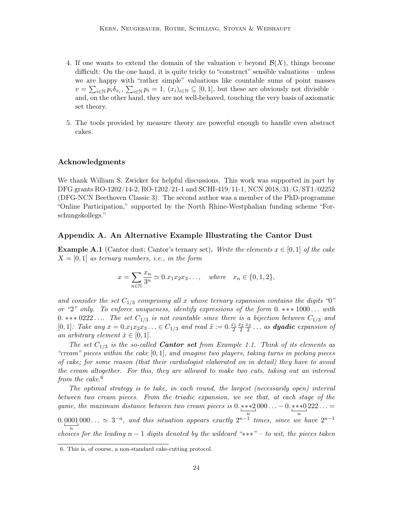- 4. If one wants to extend the domain of the valuation v beyond  $\mathcal{B}(X)$ , things become difficult: On the one hand, it is quite tricky to "construct" sensible valuations – unless we are happy with "rather simple" valuations like countable sums of point masses  $v = \sum_{i \in \mathbb{N}} p_i \delta_{x_i}, \sum_{i \in \mathbb{N}} p_i = 1, (x_i)_{i \in \mathbb{N}} \subseteq [0,1],$  but these are obviously not divisible – and, on the other hand, they are not well-behaved, touching the very basis of axiomatic set theory.
- 5. The tools provided by measure theory are powerful enough to handle even abstract cakes.

# Acknowledgments

We thank William S. Zwicker for helpful discussions. This work was supported in part by DFG grants RO-1202/14-2, RO-1202/21-1 and SCHI-419/11-1, NCN 2018/31/G/ST1/02252 (DFG-NCN Beethoven Classic 3). The second author was a member of the PhD-programme "Online Participation," supported by the North Rhine-Westphalian funding scheme "Forschungskollegs."

# Appendix A. An Alternative Example Illustrating the Cantor Dust

**Example A.1** (Cantor dust; Cantor's ternary set). Write the elements  $x \in [0,1]$  of the cake  $X = [0, 1]$  as ternary numbers, i.e., in the form

$$
x = \sum_{n \in \mathbb{N}} \frac{x_n}{3^n} \simeq 0 \cdot x_1 x_2 x_3 \ldots
$$
, where  $x_n \in \{0, 1, 2\}$ ,

and consider the set  $C_{1/3}$  comprising all x whose ternary expansion contains the digits "0" or "2" only. To enforce uniqueness, identify expressions of the form 0. \*\*\* 1000... with 0. \*\*\* 0222.... The set  $C_{1/3}$  is not countable since there is a bijection between  $C_{1/3}$  and  $[0,1]$ : Take any  $x = 0.x_1x_2x_3... \in C_{1/3}$  and read  $\hat{x} := 0.\frac{x_1}{2} \frac{x_2}{2} \frac{x_3}{2} ...$  as **dyadic** expansion of an arbitrary element  $\hat{x} \in [0,1]$ .

The set  $C_{1/3}$  is the so-called **Cantor set** from Example 1.1. Think of its elements as "cream" pieces within the cake  $[0, 1]$ , and imagine two players, taking turns in picking pieces of cake; for some reason (that their cardiologist elaborated on in detail) they have to avoid the cream altogether. For this, they are allowed to make two cuts, taking out an interval from the cake.<sup>6</sup>

The optimal strategy is to take, in each round, the largest (necessarily open) interval between two cream pieces. From the triadic expansion, we see that, at each stage of the game, the maximum distance between two cream pieces is 0. ∗∗∗2 n  $000 \ldots -0.***0$ n  $222 \ldots =$ 0. 0001 n 000...  $\approx 3^{-n}$ , and this situation appears exactly  $2^{n-1}$  times, since we have  $2^{n-1}$ choices for the leading  $n-1$  digits denoted by the wildcard "\*\*\*" – to wit, the pieces taken

<sup>6.</sup> This is, of course, a non-standard cake-cutting protocol.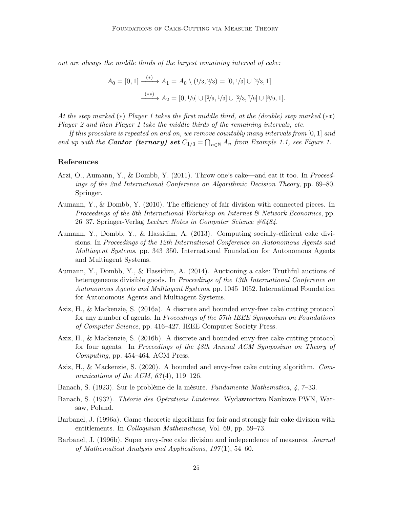out are always the middle thirds of the largest remaining interval of cake:

$$
A_0 = [0, 1] \xrightarrow{(*)} A_1 = A_0 \setminus (1/3, 2/3) = [0, 1/3] \cup [2/3, 1]
$$

$$
\xrightarrow{(**)} A_2 = [0, 1/9] \cup [2/9, 1/3] \cup [2/3, 7/9] \cup [8/9, 1].
$$

At the step marked (∗) Player 1 takes the first middle third, at the (double) step marked (∗∗) Player 2 and then Player 1 take the middle thirds of the remaining intervals, etc.

If this procedure is repeated on and on, we remove countably many intervals from  $[0,1]$  and end up with the **Cantor (ternary) set**  $C_{1/3} = \bigcap_{n \in \mathbb{N}} A_n$  from Example 1.1, see Figure 1.

## References

- Arzi, O., Aumann, Y., & Dombb, Y. (2011). Throw one's cake—and eat it too. In Proceedings of the 2nd International Conference on Algorithmic Decision Theory, pp. 69–80. Springer.
- Aumann, Y., & Dombb, Y. (2010). The efficiency of fair division with connected pieces. In Proceedings of the 6th International Workshop on Internet  $\mathscr B$  Network Economics, pp. 26–37. Springer-Verlag Lecture Notes in Computer Science  $\#6484$ .
- Aumann, Y., Dombb, Y., & Hassidim, A. (2013). Computing socially-efficient cake divisions. In Proceedings of the 12th International Conference on Autonomous Agents and Multiagent Systems, pp. 343–350. International Foundation for Autonomous Agents and Multiagent Systems.
- Aumann, Y., Dombb, Y., & Hassidim, A. (2014). Auctioning a cake: Truthful auctions of heterogeneous divisible goods. In Proceedings of the 13th International Conference on Autonomous Agents and Multiagent Systems, pp. 1045–1052. International Foundation for Autonomous Agents and Multiagent Systems.
- Aziz, H., & Mackenzie, S. (2016a). A discrete and bounded envy-free cake cutting protocol for any number of agents. In Proceedings of the 57th IEEE Symposium on Foundations of Computer Science, pp. 416–427. IEEE Computer Society Press.
- Aziz, H., & Mackenzie, S. (2016b). A discrete and bounded envy-free cake cutting protocol for four agents. In Proceedings of the 48th Annual ACM Symposium on Theory of Computing, pp. 454–464. ACM Press.
- Aziz, H., & Mackenzie, S. (2020). A bounded and envy-free cake cutting algorithm. Communications of the ACM,  $63(4)$ , 119–126.
- Banach, S. (1923). Sur le problème de la mésure. Fundamenta Mathematica, 4, 7–33.
- Banach, S. (1932). Théorie des Opérations Linéaires. Wydawnictwo Naukowe PWN, Warsaw, Poland.
- Barbanel, J. (1996a). Game-theoretic algorithms for fair and strongly fair cake division with entitlements. In Colloquium Mathematicae, Vol. 69, pp. 59–73.
- Barbanel, J. (1996b). Super envy-free cake division and independence of measures. *Journal* of Mathematical Analysis and Applications,  $197(1)$ , 54–60.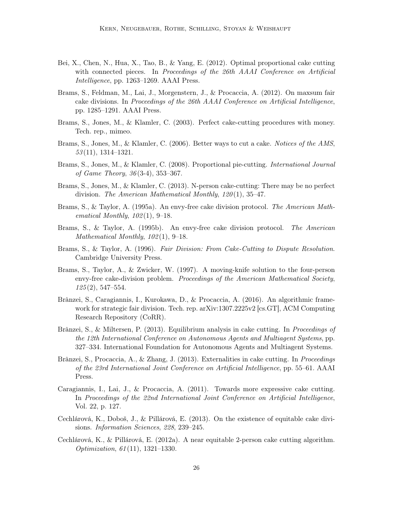- Bei, X., Chen, N., Hua, X., Tao, B., & Yang, E. (2012). Optimal proportional cake cutting with connected pieces. In Proceedings of the 26th AAAI Conference on Artificial Intelligence, pp. 1263–1269. AAAI Press.
- Brams, S., Feldman, M., Lai, J., Morgenstern, J., & Procaccia, A. (2012). On maxsum fair cake divisions. In Proceedings of the 26th AAAI Conference on Artificial Intelligence, pp. 1285–1291. AAAI Press.
- Brams, S., Jones, M., & Klamler, C. (2003). Perfect cake-cutting procedures with money. Tech. rep., mimeo.
- Brams, S., Jones, M., & Klamler, C. (2006). Better ways to cut a cake. Notices of the AMS, 53 (11), 1314–1321.
- Brams, S., Jones, M., & Klamler, C. (2008). Proportional pie-cutting. *International Journal* of Game Theory, 36 (3-4), 353–367.
- Brams, S., Jones, M., & Klamler, C. (2013). N-person cake-cutting: There may be no perfect division. The American Mathematical Monthly,  $120(1)$ , 35-47.
- Brams, S., & Taylor, A. (1995a). An envy-free cake division protocol. The American Mathematical Monthly,  $102(1)$ , 9–18.
- Brams, S., & Taylor, A. (1995b). An envy-free cake division protocol. The American Mathematical Monthly,  $102(1)$ , 9-18.
- Brams, S., & Taylor, A. (1996). Fair Division: From Cake-Cutting to Dispute Resolution. Cambridge University Press.
- Brams, S., Taylor, A., & Zwicker, W. (1997). A moving-knife solution to the four-person envy-free cake-division problem. Proceedings of the American Mathematical Society,  $125(2), 547-554.$
- Brânzei, S., Caragiannis, I., Kurokawa, D., & Procaccia, A. (2016). An algorithmic framework for strategic fair division. Tech. rep. arXiv:1307.2225v2 [cs.GT], ACM Computing Research Repository (CoRR).
- Brânzei, S., & Miltersen, P. (2013). Equilibrium analysis in cake cutting. In Proceedings of the 12th International Conference on Autonomous Agents and Multiagent Systems, pp. 327–334. International Foundation for Autonomous Agents and Multiagent Systems.
- Brânzei, S., Procaccia, A., & Zhang, J. (2013). Externalities in cake cutting. In Proceedings of the 23rd International Joint Conference on Artificial Intelligence, pp. 55–61. AAAI Press.
- Caragiannis, I., Lai, J., & Procaccia, A. (2011). Towards more expressive cake cutting. In Proceedings of the 22nd International Joint Conference on Artificial Intelligence, Vol. 22, p. 127.
- Cechlárová, K., Doboš, J., & Pillárová, E. (2013). On the existence of equitable cake divisions. Information Sciences, 228, 239–245.
- Cechlárová, K., & Pillárová, E. (2012a). A near equitable 2-person cake cutting algorithm. Optimization, 61 (11), 1321–1330.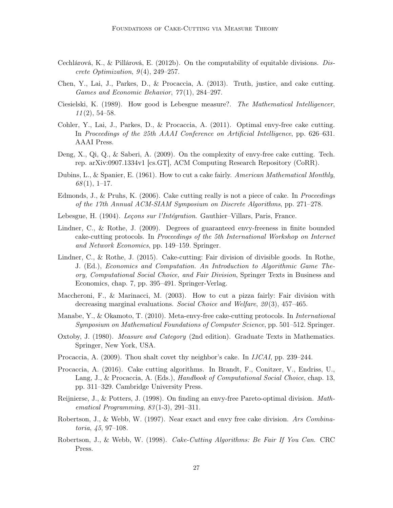- Cechlárová, K., & Pillárová, E. (2012b). On the computability of equitable divisions. Discrete Optimization,  $9(4)$ ,  $249-257$ .
- Chen, Y., Lai, J., Parkes, D., & Procaccia, A. (2013). Truth, justice, and cake cutting. Games and Economic Behavior, 77 (1), 284–297.
- Ciesielski, K. (1989). How good is Lebesgue measure?. The Mathematical Intelligencer,  $11(2), 54-58.$
- Cohler, Y., Lai, J., Parkes, D., & Procaccia, A. (2011). Optimal envy-free cake cutting. In Proceedings of the 25th AAAI Conference on Artificial Intelligence, pp. 626–631. AAAI Press.
- Deng, X., Qi, Q., & Saberi, A. (2009). On the complexity of envy-free cake cutting. Tech. rep. arXiv:0907.1334v1 [cs.GT], ACM Computing Research Repository (CoRR).
- Dubins, L., & Spanier, E. (1961). How to cut a cake fairly. American Mathematical Monthly,  $68(1), 1-17.$
- Edmonds, J., & Pruhs, K. (2006). Cake cutting really is not a piece of cake. In *Proceedings* of the 17th Annual ACM-SIAM Symposium on Discrete Algorithms, pp. 271–278.
- Lebesgue, H. (1904). Lecons sur l'Intégration. Gauthier–Villars, Paris, France.
- Lindner, C., & Rothe, J. (2009). Degrees of guaranteed envy-freeness in finite bounded cake-cutting protocols. In Proceedings of the 5th International Workshop on Internet and Network Economics, pp. 149–159. Springer.
- Lindner, C., & Rothe, J. (2015). Cake-cutting: Fair division of divisible goods. In Rothe, J. (Ed.), Economics and Computation. An Introduction to Algorithmic Game Theory, Computational Social Choice, and Fair Division, Springer Texts in Business and Economics, chap. 7, pp. 395–491. Springer-Verlag.
- Maccheroni, F., & Marinacci, M. (2003). How to cut a pizza fairly: Fair division with decreasing marginal evaluations. Social Choice and Welfare, 20(3), 457–465.
- Manabe, Y., & Okamoto, T. (2010). Meta-envy-free cake-cutting protocols. In International Symposium on Mathematical Foundations of Computer Science, pp. 501–512. Springer.
- Oxtoby, J. (1980). Measure and Category (2nd edition). Graduate Texts in Mathematics. Springer, New York, USA.
- Procaccia, A. (2009). Thou shalt covet thy neighbor's cake. In *IJCAI*, pp. 239–244.
- Procaccia, A. (2016). Cake cutting algorithms. In Brandt, F., Conitzer, V., Endriss, U., Lang, J., & Procaccia, A. (Eds.), *Handbook of Computational Social Choice*, chap. 13, pp. 311–329. Cambridge University Press.
- Reijnierse, J., & Potters, J. (1998). On finding an envy-free Pareto-optimal division. Mathematical Programming,  $83(1-3)$ ,  $291-311$ .
- Robertson, J., & Webb, W. (1997). Near exact and envy free cake division. Ars Combinatoria, 45, 97–108.
- Robertson, J., & Webb, W. (1998). Cake-Cutting Algorithms: Be Fair If You Can. CRC Press.